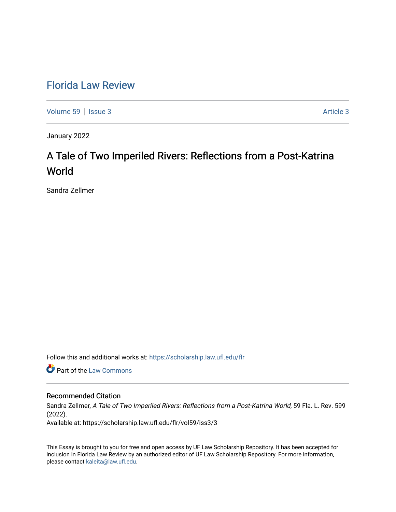# [Florida Law Review](https://scholarship.law.ufl.edu/flr)

[Volume 59](https://scholarship.law.ufl.edu/flr/vol59) | [Issue 3](https://scholarship.law.ufl.edu/flr/vol59/iss3) Article 3

January 2022

# A Tale of Two Imperiled Rivers: Reflections from a Post-Katrina World

Sandra Zellmer

Follow this and additional works at: [https://scholarship.law.ufl.edu/flr](https://scholarship.law.ufl.edu/flr?utm_source=scholarship.law.ufl.edu%2Fflr%2Fvol59%2Fiss3%2F3&utm_medium=PDF&utm_campaign=PDFCoverPages)

**Part of the [Law Commons](https://network.bepress.com/hgg/discipline/578?utm_source=scholarship.law.ufl.edu%2Fflr%2Fvol59%2Fiss3%2F3&utm_medium=PDF&utm_campaign=PDFCoverPages)** 

## Recommended Citation

Sandra Zellmer, A Tale of Two Imperiled Rivers: Reflections from a Post-Katrina World, 59 Fla. L. Rev. 599 (2022).

Available at: https://scholarship.law.ufl.edu/flr/vol59/iss3/3

This Essay is brought to you for free and open access by UF Law Scholarship Repository. It has been accepted for inclusion in Florida Law Review by an authorized editor of UF Law Scholarship Repository. For more information, please contact [kaleita@law.ufl.edu](mailto:kaleita@law.ufl.edu).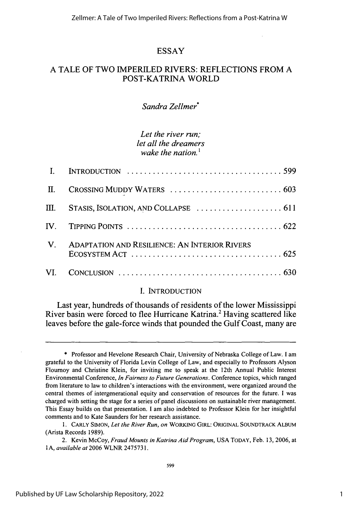# **ESSAY**

# **A TALE OF TWO IMPERILED RIVERS: REFLECTIONS FROM A** POST-KATRINA WORLD

# *Sandra Zellmer\**

# *Let the river run; let all the dreamers* wake the nation<sup>1</sup>

| П. |                                                                                                                                                    |
|----|----------------------------------------------------------------------------------------------------------------------------------------------------|
|    | $III.$ STASIS, ISOLATION, AND COLLAPSE $\ldots \ldots \ldots \ldots \ldots \ldots \ldots 611$                                                      |
|    | $IV.$ TIPPING POINTS $\ldots \ldots \ldots \ldots \ldots \ldots \ldots \ldots \ldots \ldots \ldots \ldots 622$                                     |
|    | V. ADAPTATION AND RESILIENCE: AN INTERIOR RIVERS<br>$E$ COSYSTEM ACT $\ldots$ $\ldots$ $\ldots$ $\ldots$ $\ldots$ $\ldots$ $\ldots$ $\ldots$ . 625 |
|    |                                                                                                                                                    |

### I. INTRODUCTION

Last year, hundreds of thousands of residents of the lower Mississippi River basin were forced to flee Hurricane Katrina.<sup>2</sup> Having scattered like leaves before the gale-force winds that pounded the Gulf Coast, many are

<sup>\*</sup> Professor and Hevelone Research Chair, University of Nebraska College of Law. I am grateful to the University of Florida Levin College of Law, and especially to Professors Alyson Flournoy and Christine Klein, for inviting me to speak at the 12th Annual Public Interest Environmental Conference, *In Fairness to Future Generations.* Conference topics, which ranged from literature to law to children's interactions with the environment, were organized around the central themes of intergenerational equity and conservation of resources for the future. I was charged with setting the stage for a series of panel discussions on sustainable river management. This Essay builds on that presentation. I am also indebted to Professor Klein for her insightful comments and to Kate Saunders for her research assistance.

<sup>1.</sup> CARLY SIMON, *Let the River Run, on* WORKING GIRL: ORIGINAL SOUNDTRACK ALBUM (Arista Records 1989).

<sup>2.</sup> Kevin McCoy, *Fraud Mounts in Katrina Aid Program,* USA TODAY, Feb. 13, 2006, at 1A, *available at* 2006 WLNR 2475731.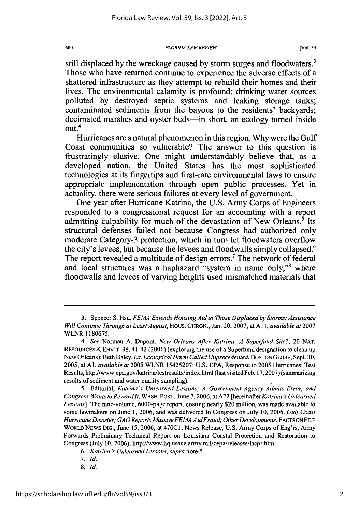still displaced **by** the wreckage caused **by** storm surges and floodwaters.<sup>3</sup> Those who have returned continue to experience the adverse effects of a shattered infrastructure as they attempt to rebuild their homes and their lives. The environmental calamity is profound: drinking water sources polluted **by** destroyed septic systems and leaking storage tanks; contaminated sediments from the bayous to the residents' backyards; decimated marshes and ovster beds—in short, an ecology turned inside out. 4

Hurricanes are a natural phenomenon in this region. **Why** were the Gulf Coast communities so vulnerable? The answer to this question is frustratingly elusive. One might understandably believe that, as a developed nation, the United States has the most sophisticated technologies at its fingertips and first-rate environmental laws to ensure appropriate implementation through open public processes. Yet in actuality, there were serious failures at every level of government.

One year after Hurricane Katrina, the **U.S.** Army Corps of Engineers responded to a congressional request for an accounting with a report admitting culpability for much of the devastation of New Orleans.<sup>5</sup> Its structural defenses failed not because Congress had authorized only moderate Category-3 protection, which in turn let floodwaters overflow the city's levees, but because the levees and floodwalls simply collapsed.<sup>6</sup> The report revealed a multitude of design errors.<sup>7</sup> The network of federal and local structures was a haphazard "system in name only,"<sup>8</sup> where floodwalls and levees of varying heights used mismatched materials that

600

<sup>3.</sup> Spencer S. Hsu, *FEMA Extends Housing Aid to Those Displaced by Storms: Assistance Will Continue Through at Least August,* Hous. CHRON., Jan. 20, 2007, at Al 1, *available at* 2007 WLNR 1180675.

*<sup>4.</sup> See* Norman **A.** Dupont, *New Orleans After Katrina: A Superfund Site?,* 20 NAT. RESOURCES & ENV'T. 38, 41-42 (2006) (exploring the use of a Superfund designation to clean up New Orleans); Beth Daley, *La. EcologicalHarm Called Unprecedented,* BOSTONGLOBE, Sept. 30, 2005, at **Al,** *available at* 2005 WLNR 15425207; U.S. EPA, Response to **2005** Hurricanes: Test Results, http://www.epa.gov/katrina/testresults/index.html (last visited Feb. 17,2007) (summarizing results of sediment and water quality sampling).

<sup>5.</sup> Editorial, *Katrina 's Unlearned Lessons; A Government Agency Admits Error, and Congress Wants to Reward It,* WASH. POST, June 7,2006, at **A22** [hereinafter *Katrina* **"s** *Unlearned Lessons].* The nine-volume, 6000-page report, costing nearly \$20 million, was made available to some lawmakers on June 1, 2006, and was delivered to Congress on July 10, 2006. *Gulf Coast* Hurricane Disaster; GAO Reports Massive FEMA Aid Fraud; Other Developments, FACTS ON FILE WORLD NEWS DIG., June 15, 2006, at 470C1; News Release, U.S. Army Corps of Eng'rs, Army Forwards Preliminary Technical Report on Louisiana Coastal Protection and Restoration to Congress (July 10, 2006), http://www.hq.usace.army.mil/cepa/releases/lacpr.htm.

*<sup>6.</sup> Katrina 's Unlearned Lessons, supra* note 5.

*<sup>7.</sup> Id.*

*<sup>8.</sup>* Id.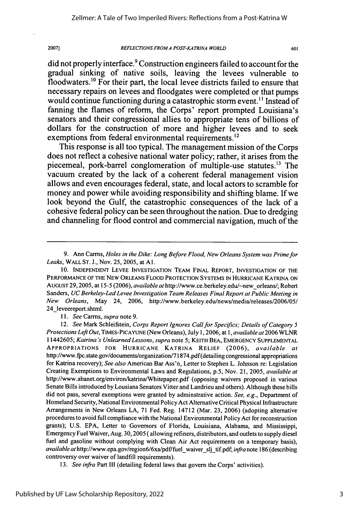*REFLECTIONS FROM A POST-KA TRINA WORLD*

601

did not properly interface.9 Construction engineers failed to account for the gradual sinking of native soils, leaving the levees vulnerable to floodwaters.'° For their part, the local levee districts failed to ensure that necessary repairs on levees and floodgates were completed or that pumps would continue functioning during a catastrophic storm event. **"** Instead of fanning the flames of reform, the Corps' report prompted Louisiana's senators and their congressional allies to appropriate tens of billions of dollars for the construction of more and higher levees and to seek exemptions from federal environmental requirements.<sup>12</sup>

This response is all too typical. The management mission of the Corps does not reflect a cohesive national water policy; rather, it arises from the piecemeal, pork-barrel conglomeration of multiple-use statutes.<sup>13</sup> The vacuum created by the lack of a coherent federal management vision allows and even encourages federal, state, and local actors to scramble for money and power while avoiding responsibility and shifting blame. If we look beyond the Gulf, the catastrophic consequences of the lack of a cohesive federal policy can be seen throughout the nation. Due to dredging and channeling for flood control and commercial navigation, much of the

*11. See* Carrns, *supra* note 9.

2007]

12. *See* Mark Schleifstein, *Corps Report Ignores Call for Specifics; Details of Category 5 Protections Left Out,* TIMES-PICAYUNE (New Orleans), July 1,2006, at 1, *available at* 2006 WLNR 11442605; *Katrina 's Unlearned Lessons, supra* note 5; KEITH **BEA,** EMERGENCY **SUPPLEMENTAL** APPROPRIATIONS FOR HURRICANE KATRINA RELIEF (2006), *available at* http://www.fpc.state.gov/documents/organization/71874.pdf(detailing congressional appropriations for Katrina recovery); *See also* American Bar Ass'n, Letter to Stephen L. Johnson re: Legislation Creating Exemptions to Environmental Laws and Regulations, p.5, Nov. 21, 2005, *available at* http://www.abanet.org/environ/katrina/Whitepaper.pdf (opposing waivers proposed in various Senate Bills introduced by Lousiana Senators Vitter and Landrieu and others). Although these bills did not pass, several exemptions were granted by adminstrative action. *See, e.g.,* Department of Homeland Security, National Environmental Policy Act Alternative Critical Physical Infrastructure Arrangements in New Orleans LA, 71 Fed. Reg. 14712 (Mar. 23, 2006) (adopting alternative procedures to avoid full compliance with the National Environmental Policy Act for reconstruction grants); U.S. EPA, Letter to Governors of Florida, Louisiana, Alabama, and Mississippi, Emergency Fuel Waiver, Aug. 30,2005 ( allowing refiners, distributors, and outlets to supply diesel fuel and gasoline without complying with Clean Air Act requirements on a temporary basis), *available at* http://www.epa.gov/region6/6xa/pdf/fuel waiver slj tif.pdf; *infra* note 186 (describing controversy over waiver of landfill requirements).

*13. See infra* Part III (detailing federal laws that govern the Corps' activities).

<sup>9.</sup> Ann Carrns, *Holes in the Dike: Long Before Flood, New Orleans System was Prime for Leaks,* WALL **ST.** J., Nov. 25, 2005, at **Al.**

<sup>10.</sup> INDEPENDENT LEVEE INVESTIGATION TEAM FINAL REPORT, INVESTIGATION OF THE PERFORMANCE OF THE NEW ORLEANS FLOOD PROTECTION SYSTEMS IN HURRICANE KATRINA ON AUGUST 29, 2005, at 15-5 (2006), *available at* http://www.ce.berkeley.edu/-neworleans/; Robert Sanders, *UC Berkeley-Led Levee Investigation Team Releases Final Report at Public Meeting in New Orleans,* May 24, 2006, http://www.berkeley.edu/news/media/releases/2006/05/ 24\_leveereport.shtml.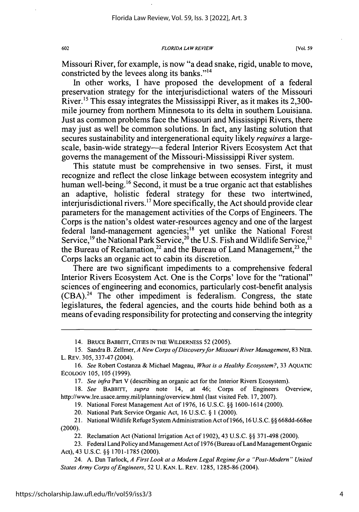Missouri River, for example, is now "a dead snake, rigid, unable to move, constricted by the levees along its banks."<sup>14</sup>

In other works, I have proposed the development of a federal preservation strategy for the interjurisdictional waters of the Missouri River.<sup>15</sup> This essay integrates the Mississippi River, as it makes its 2,300mile journey from northern Minnesota to its delta in southern Louisiana. Just as common problems face the Missouri and Mississippi Rivers, there may just as well be common solutions. In fact, any lasting solution that secures sustainability and intergenerational equity likely *requires* a largescale, basin-wide strategy—a federal Interior Rivers Ecosystem Act that governs the management of the Missouri-Mississippi River system.

This statute must be comprehensive in two senses. First, it must recognize and reflect the close linkage between ecosystem integrity and human well-being.<sup>16</sup> Second, it must be a true organic act that establishes an adaptive, holistic federal strategy for these two intertwined, interjurisdictional rivers.<sup>17</sup> More specifically, the Act should provide clear parameters for the management activities of the Corps of Engineers. The Corps is the nation's oldest water-resources agency and one of the largest federal land-management agencies;<sup>18</sup> yet unlike the National Forest Service,<sup>19</sup> the National Park Service,<sup>20</sup> the U.S. Fish and Wildlife Service,<sup>2</sup> the Bureau of Reclamation,<sup>22</sup> and the Bureau of Land Management,<sup>23</sup> the Corps lacks an organic act to cabin its discretion.

There are two significant impediments to a comprehensive federal Interior Rivers Ecosystem Act. One is the Corps' love for the "rational" sciences of engineering and economics, particularly cost-benefit analysis  $(CBA)$ <sup>24</sup>. The other impediment is federalism. Congress, the state legislatures, the federal agencies, and the courts hide behind both as a means of evading responsibility for protecting and conserving the integrity

18. *See* BABBITT, *supra* note 14, at 46; Corps of Engineers Overview, http://www.lre.usace.army.mil/planning/overview.html (last visited Feb. 17, 2007).

19. National Forest Management Act of 1976, 16 U.S.C. §§ 1600-1614 (2000).

20. National Park Service Organic Act, 16 U.S.C. § 1 (2000).

21. National Wildlife Refuge System Administration Act of 1966, 16 U.S.C. §§ 668dd-668ee (2000).

22. Reclamation Act (National Irrigation Act of 1902), 43 U.S.C. §§ 371-498 (2000).

23. Federal Land Policy and Management Act of 1976 (Bureau of Land Management Organic Act), 43 U.S.C. §§ 1701-1785 (2000).

24. A. Dan Tarlock, *A First Look at a Modern Legal Regime for a "Post-Modern " United States Army Corps of Engineers,* 52 U. KAN. L. REv. 1285, 1285-86 (2004).

<sup>14.</sup> BRUCE BABBITT, **CITIES** IN THE WILDERNESS 52 (2005).

<sup>15.</sup> Sandra B. Zellmer, *A New Corps of Discovery for Missouri River Management,* 83 NEB. L. REV. 305, 337-47 (2004).

<sup>16.</sup> *See* Robert Costanza & Michael Mageau, *What is a Healthy Ecosystem?,* 33 AQUATIC ECOLOGY 105, 105 (1999).

*<sup>17.</sup> See infra* Part V (describing an organic act for the Interior Rivers Ecosystem).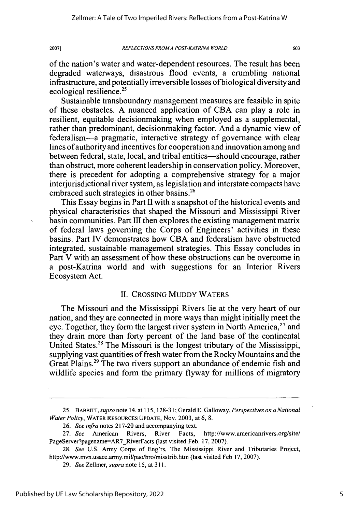603

of the nation's water and water-dependent resources. The result has been degraded waterways, disastrous flood events, a crumbling national infrastructure, and potentially irreversible losses of biological diversity and ecological resilience.25

Sustainable transboundary management measures are feasible in spite of these obstacles. A nuanced application of CBA can play a role in resilient, equitable decisionmaking when employed as a supplemental, rather than predominant, decisionmaking factor. And a dynamic view of federalism-a pragmatic, interactive strategy of governance with clear lines of authority and incentives for cooperation and innovation among and between federal, state, local, and tribal entities-should encourage, rather than obstruct, more coherent leadership in conservation policy. Moreover, there is precedent for adopting a comprehensive strategy for a major interjurisdictional river system, as legislation and interstate compacts have embraced such strategies in other basins.<sup>26</sup>

This Essay begins in Part II with a snapshot of the historical events and physical characteristics that shaped the Missouri and Mississippi River basin communities. Part III then explores the existing management matrix of federal laws governing the Corps of Engineers' activities in these basins. Part IV demonstrates how CBA and federalism have obstructed integrated, sustainable management strategies. This Essay concludes in Part V with an assessment of how these obstructions can be overcome in a post-Katrina world and with suggestions for an Interior Rivers Ecosystem Act.

### II. CROSSING MUDDY WATERS

The Missouri and the Mississippi Rivers lie at the very heart of our nation, and they are connected in more ways than might initially meet the eye. Together, they form the largest river system in North America,  $27$  and they drain more than forty percent of the land base of the continental United States.28 The Missouri is the longest tributary of the Mississippi, supplying vast quantities of fresh water from the Rocky Mountains and the Great Plains.29 The two rivers support an abundance of endemic fish and wildlife species and form the primary flyway for millions of migratory

<sup>25.</sup> *BABBrl, supra* note 14, at 115, 128-31; Gerald E. Galloway, *Perspectives on a National Water Policy,* WATER **RESOURCES UPDATE,** Nov. 2003, at 6, 8.

<sup>26.</sup> *See infra* notes 217-20 and accompanying text.

<sup>27.</sup> *See* American Rivers, River Facts, http://www.americanrivers.org/site/ PageServer?pagename=AR7\_RiverFacts (last visited Feb. 17, 2007).

<sup>28.</sup> *See* U.S. Army Corps of Eng'rs, The Mississippi River and Tributaries Project, http://www.mvn.usace.army.mil/pao/bro/misstrib.htm (last visited Feb 17, 2007).

<sup>29.</sup> *See* Zellmer, *supra* note **15,** at **311.**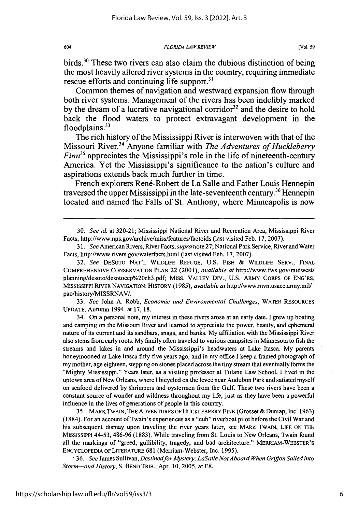birds.<sup>30</sup> These two rivers can also claim the dubious distinction of being the most heavily altered river systems in the country, requiring immediate rescue efforts and continuing life support. $31$ 

Common themes of navigation and westward expansion flow through both river systems. Management of the rivers has been indelibly marked by the dream of a lucrative navigational corridor<sup>32</sup> and the desire to hold back the flood waters to protect extravagant development in the floodplains. $33$ 

The rich history of the Mississippi River is interwoven with that of the Missouri River.34 Anyone familiar with *The Adventures of Huckleberry Finn*<sup>35</sup> appreciates the Mississippi's role in the life of nineteenth-century America. Yet the Mississippi's significance to the nation's culture and aspirations extends back much further in time.

French explorers René-Robert de La Salle and Father Louis Hennepin traversed the upper Mississippi in the late-seventeenth century.<sup>36</sup> Hennepin located and named the Falls of St. Anthony, where Minneapolis is now

30. *See id.* at 320-21; Mississippi National River and Recreation Area, Mississippi River Facts, http://www.nps.gov/archive/miss/features/factoids (last visited Feb. 17, 2007).

*31. See* American Rivers, River Facts, *supra* note 27; National Park Service, River and Water Facts, http://www.rivers.gov/waterfacts.html (last visited Feb. 17, 2007).

32. *See* DESOTO NAT'L WILDLIFE REFUGE, U.S. FISH & WILDLIFE SERV., FINAL COMPREHENSIVE CONSERVATION PLAN 22 (2001), *available at* http://www.fws.gov/midwest/ planning/desoto/desotoccp%20ch3.pdf; MISS. VALLEY DIv., U.S. ARMY CORPS OF ENG'RS, MISSISSIPPI RIVER NAVIGATION: HISTORY (1985), *available at* http://www.mvn.usace.army.mil/ pao/history/MISSRNAV/.

33. *See* John A. Robb, *Economic and Environmental Challenges,* WATER RESOURCES UPDATE, Autumn 1994, at 17, 18.

34. On a personal note, my interest in these rivers arose at an early date. I grew up boating and camping on the Missouri River and learned to appreciate the power, beauty, and ephemeral nature of its current and its sandbars, snags, and banks. My affiliation with the Mississippi River also stems from early roots. My family often traveled to various campsites in Minnesota to fish the streams and lakes in and around the Mississippi's headwaters at Lake Itasca. My parents honeymooned at Lake Itasca fifty-five years ago, and in my office I keep a framed photograph of my mother, age eighteen, stepping on stones placed across the tiny stream that eventually forms the "Mighty Mississippi." Years later, as a visiting professor at Tulane Law School, I lived in the uptown area of New Orleans, where I bicycled on the levee near Audubon Park and satiated myself on seafood delivered by shrimpers and oystermen from the Gulf. These two rivers have been a constant source of wonder and wildness throughout my life, just as they have been a powerful influence in the lives of generations of people in this country.

35. MARK TWAIN, THE ADVENTURES OF HUCKLEBERRY FINN (Grosset & Duniap, Inc. 1963) (1884). For an account of Twain's experiences as a "cub" riverboat pilot before the Civil War and his subsequent dismay upon traveling the river years later, see MARK TWAIN, LIFE ON THE MISSISSipPI 44-53, 486-96 (1883). While traveling from St. Louis to New Orleans, Twain found all the markings of "greed, gullibility, tragedy, and bad architecture." MERRIAM-WEBSTER'S ENCYCLOPEDIA OF LrrERATURE 681 (Merriam-Webster, Inc. 1995).

**.** *36. See* James Sullivan, *Destinedfor Mystery; LaSalle Not Aboard When Griffon Sailed into Storm-and History,* S. BEND TRIB., Apr. 10, 2005, at F8.

604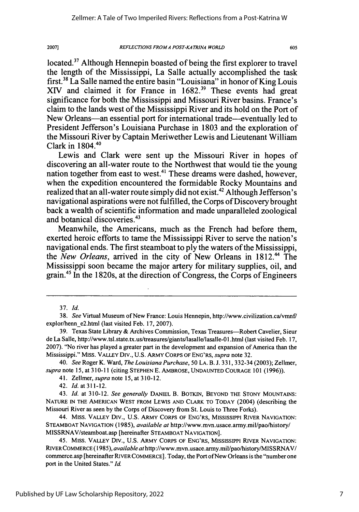*REFLECTIONS FROMA POST-KA TRINA WORLD*

605

located.<sup>37</sup> Although Hennepin boasted of being the first explorer to travel the length of the Mississippi, La Salle actually accomplished the task first.38 La Salle named the entire basin "Louisiana" in honor of King Louis XIV and claimed it for France in 1682.<sup>39</sup> These events had great significance for both the Mississippi and Missouri River basins. France's claim to the lands west of the Mississippi River and its hold on the Port of New Orleans—an essential port for international trade—eventually led to President Jefferson's Louisiana Purchase in 1803 and the exploration of the Missouri River by Captain Meriwether Lewis and Lieutenant William Clark in 1804.40

Lewis and Clark were sent up the Missouri River in hopes of discovering an all-water route to the Northwest that would tie the young nation together from east to west.<sup>41</sup> These dreams were dashed, however, when the expedition encountered the formidable Rocky Mountains and realized that an all-water route simply did not exist.<sup>42</sup> Although Jefferson's navigational aspirations were not fulfilled, the Corps of Discovery brought back a wealth of scientific information and made unparalleled zoological and botanical discoveries.43

Meanwhile, the Americans, much as the French had before them, exerted heroic efforts to tame the Mississippi River to serve the nation's navigational ends. The first steamboat to ply the waters of the Mississippi, the *New Orleans*, arrived in the city of New Orleans in 1812.<sup>44</sup> The Mississippi soon became the major artery for military supplies, oil, and grain.45 In the 1820s, at the direction of Congress, the Corps of Engineers

<sup>37.</sup> *Id.*

<sup>38.</sup> *See* Virtual Museum of New France: Louis Hennepin, http://www.civilization.ca/vmnf/ explor/henn-e2.html (last visited Feb. 17, 2007).

<sup>39.</sup> Texas State Library & Archives Commission, Texas Treasures-Robert Cavelier, Sieur de La Salle, http://www.tsl.state.tx.us/treasures/giants/lasalle/lasalle-0l.html (last visited Feb. 17, 2007). "No river has played a greater part in the development and expansion of America than the Mississippi." MIss. VALLEY Div., U.S. ARMY CORPS OF **ENG'RS,** *supra* note 32.

<sup>40.</sup> *See* Roger K. Ward, *The Louisiana Purchase,* 50 LA. B. **J.** 331, 332-34 (2003); Zellmer, *supra* note 15, at 310-11 (citing **STEPHEN** E. AMBROSE, **UNDAUNTED COURAGE** 101 (1996)).

<sup>41.</sup> Zellmer, *supra* note 15, at 310-12.

<sup>42.</sup> *Id.* at **311-12.**

<sup>43.</sup> *Id.* at 310-12. *See generally* DANIEL B. **BOTKIN,** BEYOND THE STONY MOUNTAINS: NATURE **IN THE AMERICAN** WEST FROM LEWIS **AND** CLARK TO TODAY (2004) (describing the Missouri River as seen by the Corps of Discovery from St. Louis to Three Forks).

<sup>44.</sup> Miss. VALLEY Div., U.S. ARMY CORPS OF **ENG'RS,** MISSISSIPPI RIVER NAVIGATION: **STEAMBOAT NAVIGATION** (1985), *available at* http://www.mvn.usace.army.mil/pao/history/ MISSRNAV/steamboat.asp [hereinafter STEAMBOAT **NAVIGATION].**

<sup>45.</sup> MISS. VALLEY Div., U.S. ARMY CORPS OF **ENG'RS,** MISSISSIPPI RIVER NAVIGATION: RIVER COMMERCE (1985), *available at* http://www.mvn.usace.army.mil/pao/history/MISSRNAV/ commerce.asp [hereinafter RIVER COMMERCE]. Today, the Port ofNew Orleans is the "number one port in the United States." *Id.*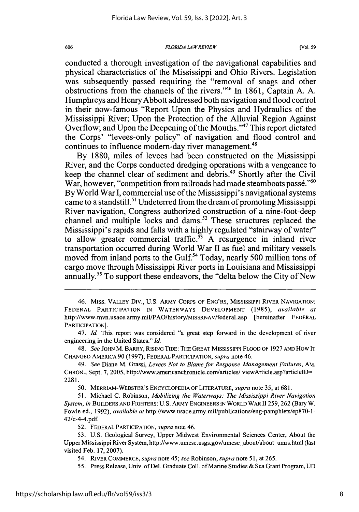conducted a thorough investigation of the navigational capabilities and physical characteristics of the Mississippi and Ohio Rivers. Legislation was subsequently passed requiring the "removal of snags and other obstructions from the channels of the rivers."46 In 1861, Captain A. A. Humphreys and Henry Abbott addressed both navigation and flood control in their now-famous "Report Upon the Physics and Hydraulics of the Mississippi River; Upon the Protection of the Alluvial Region Against Overflow; and Upon the Deepening of the Mouths."47 This report dictated the Corps' "levees-only policy" of navigation and flood control and continues to influence modern-day river management.<sup>48</sup>

By 1880, miles of levees had been constructed on the Mississippi River, and the Corps conducted dredging operations with a vengeance to keep the channel clear of sediment and debris.<sup>49</sup> Shortly after the Civil War, however, "competition from railroads had made steamboats passé."<sup>50</sup> By World War I, commercial use of the Mississippi's navigational systems came to a standstill.<sup>51</sup> Undeterred from the dream of promoting Mississippi River navigation, Congress authorized construction of a nine-foot-deep channel and multiple locks and dams.<sup>52</sup> These structures replaced the Mississippi's rapids and falls with a highly regulated "stairway of water" to allow greater commercial traffic.<sup> $53$ </sup> A resurgence in inland river transportation occurred during World War II as fuel and military vessels moved from inland ports to the Gulf.<sup>54</sup> Today, nearly 500 million tons of cargo move through Mississippi River ports in Louisiana and Mississippi annually.<sup>55</sup> To support these endeavors, the "delta below the City of New

48. *See* JOHN M. BARRY, RISING TIDE: THE GREAT MISSISSIPPI FLOOD OF 1927 **AND** How IT CHANGED AMERICA 90 (1997); FEDERAL PARTICIPATION, *supra* note 46.

50. MERRIAM-WEBSTER'S ENCYCLOPEDIA OF LITERATURE, *supra* note 35, at 681.

51. Michael C. Robinson, *Mobilizing the Waterways: The Mississippi River Navigation System, in* BUILDERS AND FIGHTERS: U.S. ARMY ENGINEERS IN WORLD WAR 11259, 262 (Bary W. Fowle ed., 1992), *available at* http://www.usace.army.mil/publications/eng-pamphlets/ep870-1 **-** 42/c-4-4.pdf.

52. FEDERAL PARTICIPATION, *supra* note 46.

53. U.S. Geological Survey, Upper Midwest Environmental Sciences Center, About the Upper Mississippi River System, http://www.umesc.usgs.gov/umescabout/about-umrs.html (last visited Feb. 17, 2007).

54. RIVER COMMERCE, *supra* note 45; *see* Robinson, *supra* note 51, at 265.

55. Press Release, Univ. of Del. Graduate Coll. of Marine Studies & Sea Grant Program, UD

<sup>46.</sup> Miss. VALLEY Div., U.S. ARMY CORPS OF ENG'RS, MISSISSIPPI RIVER NAVIGATION: FEDERAL PARTICIPATION IN WATERWAYS DEVELOPMENT (1985), *available at* http://www.mvn.usace.army.mil/PAO/history/MISSRNAV/federal.asp [hereinafter FEDERAL PARTICIPATION].

<sup>47.</sup> *Id.* This report was considered "a great step forward in the development of river engineering in the United States." *Id.*

<sup>49.</sup> *See* Diane M. Grassi, *Levees Not to Blame for Response Management Failures, AM.* CHRON., Sept. 7, 2005, http://www.americanchronicle.com/articles/ viewArticle.asp?articlelD= 2281.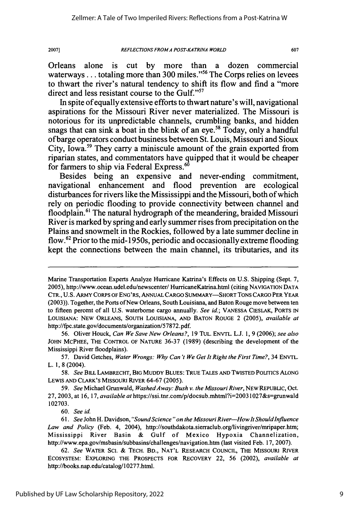Orleans alone is cut by more than a dozen commercial waterways... totaling more than 300 miles."<sup>56</sup> The Corps relies on levees to thwart the river's natural tendency to shift its flow and find a "more direct and less resistant course to the Gulf."<sup>57</sup>

In spite of equally extensive efforts to thwart nature's will, navigational aspirations for the Missouri River never materialized. The Missouri is notorious for its unpredictable channels, crumbling banks, and hidden snags that can sink a boat in the blink of an eye.<sup>58</sup> Today, only a handful of barge operators conduct business between St. Louis, Missouri and Sioux City, Iowa.59 They carry a miniscule amount of the grain exported from riparian states, and commentators have quipped that it would be cheaper for farmers to ship via Federal Express.<sup>6</sup>

Besides being an expensive and never-ending commitment, navigational enhancement and flood prevention are ecological disturbances for rivers like the Mississippi and the Missouri, both of which rely on periodic flooding to provide connectivity between channel and floodplain.<sup>61</sup> The natural hydrograph of the meandering, braided Missouri River is marked by spring and early summer rises from precipitation on the Plains and snowmelt in the Rockies, followed by a late summer decline in flow.<sup>62</sup> Prior to the mid-1950s, periodic and occasionally extreme flooding kept the connections between the main channel, its tributaries, and its

60. *See* id.

Marine Transportation Experts Analyze Hurricane Katrina's Effects on U.S. Shipping (Sept. 7, 2005), http://www.ocean.udel.edu/newscenter/HurricaneKatrina.html (citing NAVIGATION **DATA** CTR., U.S. ARMY CORPS OF ENG'RS, ANNUAL CARGO SUMMARY-SHORT TONS CARGO PER YEAR (2003)). Together, the Ports of New Orleans, South Louisiana, and Baton Rouge move between ten to fifteen percent of all U.S. waterborne cargo annually. *See id;* VANESSA CIESLAK, PORTS IN LOUISIANA: **NEW** ORLEANS, SOUTH LOUISIANA, AND **BATON** ROUGE 2 (2005), *available at* http://fpc.state.gov/documents/organization/57872.pdf.

<sup>56.</sup> Oliver Houck, *Can We Save New Orleans?,* 19 TUL. ENVTL. L.J. 1, 9 (2006); *see also* JOHN MCPHEE, THE CONTROL OF NATURE 36-37 (1989) (describing the development of the Mississippi River floodplains).

<sup>57.</sup> David Getches, *Water Wrongs: Why Can't We Get It Right the First Time?,* 34 ENVTL. L. 1, **8** (2004).

*<sup>58.</sup> See* BILL LAMBRECHT, BIG **MUDDY** BLUES: TRUE TALES **AND** TWISTED POLITICS ALONG LEWIS **AND** CLARK'S MISSOURI RIVER 64-67 (2005).

<sup>59.</sup> *See* Michael Grunwald, *WashedAway: Bush v. the Missouri River,* NEW REPUBLIC, Oct. 27, 2003, at 16, *17, available at* https://ssi.tnr.com/p/docsub.mhtml?i=20031027&s=grunwald 102703.

*<sup>61.</sup> See* John H. Davidson, *"'Sound'Science "on the Missouri River-HowIt ShouldInfluence Law and Policy* (Feb. 4, 2004), http://southdakota.sierraclub.org/livingriver/mripaper.htm; Mississippi River Basin **&** Gulf of Mexico Hypoxia Channelization, http://www.epa.gov/msbasin/subbasins/challenges/navigation.htm (last visited Feb. **17, 2007).**

**<sup>62.</sup>** *See* WATER SCI. **&** TECH. BD., **NAT'L** RESEARCH COUNCIL, THE **MISSOURI** RIVER ECOSYSTEM: EXPLORING THE PROSPECTS FOR RECOVERY 22, 56 (2002), *available at* http://books.nap.edu/catalog/10277.html.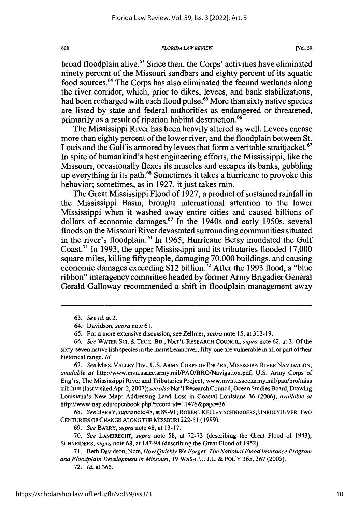broad floodplain alive.<sup>63</sup> Since then, the Corps' activities have eliminated ninety percent of the Missouri sandbars and eighty percent of its aquatic food sources.<sup>64</sup> The Corps has also eliminated the fecund wetlands along the river corridor, which, prior to dikes, levees, and bank stabilizations, had been recharged with each flood pulse.<sup>65</sup> More than sixty native species are listed by state and federal authorities as endangered or threatened, primarily as a result of riparian habitat destruction.<sup>66</sup>

The Mississippi River has been heavily altered as well. Levees encase more than eighty percent of the lower river, and the floodplain between St. Louis and the Gulf is armored by levees that form a veritable straitiacket.<sup>67</sup> In spite of humankind's best engineering efforts, the Mississippi, like the Missouri, occasionally flexes its muscles and escapes its banks, gobbling up everything in its path.<sup>68</sup> Sometimes it takes a hurricane to provoke this behavior; sometimes, as in 1927, it just takes rain.

The Great Mississippi Flood of 1927, a product of sustained rainfall in the Mississippi Basin, brought international attention to the lower Mississippi when it washed away entire cities and caused billions of dollars of economic damages.<sup>69</sup> In the 1940s and early 1950s, several floods on the Missouri River devastated surrounding communities situated in the river's floodplain.<sup>70</sup> In 1965, Hurricane Betsy inundated the Gulf Coast.7' In 1993, the upper Mississippi and its tributaries flooded 17,000 square miles, killing fifty people, damaging 70,000 buildings, and causing economic damages exceeding \$12 billion.<sup>72</sup> After the 1993 flood, a "blue" ribbon" interagency committee headed by former Army Brigadier General Gerald Galloway recommended a shift in floodplain management away

67. *See* Miss. VALLEY Div., U.S. ARMY CORPS OF ENG'RS, MISSISSIPPI RIVER NAVIGATION, *available at* http://www.mvn.usace.army.mil/PAO/BRO/Navigation.pdf; U.S. Army Corps of Eng'rs, The Mississippi River and Tributaries Project, www.mvn.usace.army.mil/pao/bro/miss trib.htm (last visited Apr. 2,2007); *see also* Nat'l Research Council, Ocean Studies Board, Drawing Louisiana's New Map: Addressing Land Loss in Coastal Louisiana 36 (2006), *available at* http://www.nap.edu/openbook.php?record id=11476&page=36.

**68.** *See BARRY, supra* note 48, at 89-91; ROBERT KELLEY SCHNEIDERS, UNRULY RIVER: TWO CENTURIES OF CHANGE ALONG THE MISSOURI 222-51 (1999).

69. *See* BARRY, *supra* note 48, at 13-17.

70. *See* LAMBRECHT, *supra* note 58, at 72-73 (describing the Great Flood of 1943); SCHNEIDERS, *supra* note 68, at 187-98 (describing the Great Flood of 1952).

71. Beth Davidson, Note, *How Quickly We Forget: The National Flood Insurance Program and Floodplain Development in Missouri,* 19 WASH. U. J.L. & POL'Y 365, 367 (2005).

72. *Id.* at 365.

608

<sup>63.</sup> *See id. at 2.*

<sup>64.</sup> Davidson, *supra* note 61.

<sup>65.</sup> For a more extensive discussion, see Zellmer, *supra* note 15, at 312-19.

<sup>66.</sup> *See* WATER SCI. & TECH. BD., NAT'L RESEARCH COUNCIL, *supra* note 62, at 3. **Of** the sixty-seven native fish species in the mainstream river, fifty-one are vulnerable in all or part of their historical range. *Id.*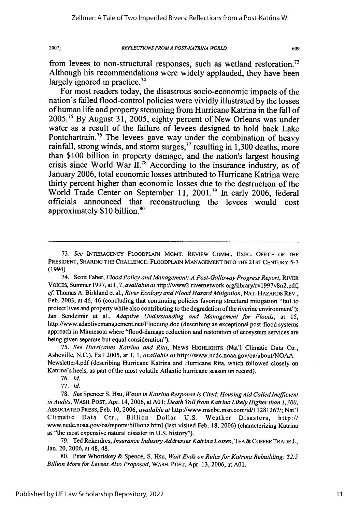from levees to non-structural responses, such as wetland restoration. <sup>73</sup> Although his recommendations were widely applauded, they have been largely ignored in practice.<sup>74</sup>

For most readers today, the disastrous socio-economic impacts of the nation's failed flood-control policies were vividly illustrated **by** the losses of human life and property stemming from Hurricane Katrina in the fall of **2005. <sup>7</sup> ' By** August **31, 2005,** eighty percent of New Orleans was under water as a result of the failure of levees designed to hold back Lake Pontchartrain.<sup>76</sup> The levees gave way under the combination of heavy rainfall, strong winds, and storm surges, 77 resulting in **1,300** deaths, more than **\$100** billion in property damage, and the nation's largest housing crisis since World War **11.78** According to the insurance industry, as of January **2006,** total economic losses attributed to Hurricane Katrina were thirty percent higher than economic losses due to the destruction of the World Trade Center on September **11, 2001.** In early **2006,** federal officials announced that reconstructing the levees would cost approximately \$10 billion.<sup>8</sup>

74. Scott Faber, *Flood Policy and Management: A Post-Galloway Progress Report,* RIVER VOICES, Summer 1997, at 1,7, *available* athttp://www2.rivemetwork.org/library/rvl 997v8n2.pdf; *cf* Thomas A. Birkland et al., *River Ecology and Flood Hazard Mitigation,* NAT. HAZARDS REv., Feb. 2003, at 46, 46 (concluding that continuing policies favoring structural mitigation "fail to protect lives and property while also contributing to the degradation of the riverine environment"); Jan Sendzimir et al., *Adaptive Understanding and Management for Floods,* at 15, http://www.adaptivemanagement.net/Flooding.doc (describing an exceptional post-flood systems approach in Minnesota where "flood-damage reduction and restoration of ecosystem services are being given separate but equal consideration").

**75.** *See Hurricanes Katrina and Rita,* NEWS HIGHUGHTS (Nat'l Climatic Data Ctr., Asheville, N.C.), Fall 2005, at 1, 1, *available at* http://www.ncdc.noaa.gov/oa/about/NOAA Newsletter4.pdf (describing Hurricane Katrina and Hurricane Rita, which followed closely on Katrina's heels, as part of the most volatile Atlantic hurricane season on record).

76. *Id.*

77. *Id.*

<sup>73.</sup> *See* INTERAGENCY FLOODPLAIN MGMT. REVIEW COMM., EXEC. OFFICE OF THE PRESIDENT, SHARING THE CHALLENGE: FLOODPLAIN MANAGEMENT INTO THE 21ST CENTURY 5-7 (1994).

<sup>78.</sup> *See* Spencer S. Hsu, *Waste in Katrina Response Is Cited, HousingAid Called Inefficient in Audits,* WASH. POST, Apr. 14,2006, at **AO1;** *Death Tollfrom Katrina Likely Higher than 1,300,* ASSOCIATED PRESS, Feb. 10, 2006, *available at* http://www.msnbc.msn.com/id/11281267/; Nat'l Climatic Data Ctr., Billion Dollar U.S. Weather Disasters, http:// www.ncdc.noaa.gov/oa/reports/billionz.html (last visited Feb. 18, 2006) (characterizing Katrina as "the most expensive natural disaster in U.S. history").

<sup>79.</sup> Ted Rekerdres, *Insurance Industry Addresses Katrina Losses,* **TEA** & COFFEE TRADE J., Jan. 20, 2006, at 48, 48.

<sup>80.</sup> Peter Whoriskey & Spencer S. Hsu, *Wait Ends on Rules for Katrina Rebuilding; \$2.5 Billion More for Levees Also Proposed,* WASH. POST, Apr. 13, 2006, at **AO** 1.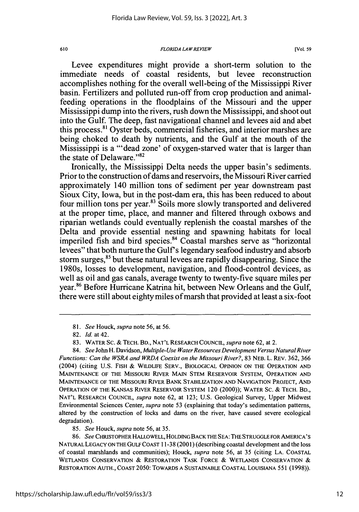### *FLORIDA LAWREVIEW*

Levee expenditures might provide a short-term solution to the immediate needs of coastal residents, but levee reconstruction accomplishes nothing for the overall well-being of the Mississippi River basin. Fertilizers and polluted run-off from crop production and animalfeeding operations in the floodplains of the Missouri and the upper Mississippi dump into the rivers, rush down the Mississippi, and shoot out into the Gulf. The deep, fast navigational channel and levees aid and abet this process.<sup>81</sup> Oyster beds, commercial fisheries, and interior marshes are being choked to death by nutrients, and the Gulf at the mouth of the Mississippi is a "'dead zone' of oxygen-starved water that is larger than the state of Delaware." $82$ 

Ironically, the Mississippi Delta needs the upper basin's sediments. Prior to the construction of dams and reservoirs, the Missouri River carried approximately 140 million tons of sediment per year downstream past Sioux City, Iowa, but in the post-dam era, this has been reduced to about four million tons per year.<sup>83</sup> Soils more slowly transported and delivered at the proper time, place, and manner and filtered through oxbows and riparian wetlands could eventually replenish the coastal marshes of the Delta and provide essential nesting and spawning habitats for local imperiled fish and bird species.<sup>84</sup> Coastal marshes serve as "horizontal levees" that both nurture the Gulf's legendary seafood industry and absorb storm surges,<sup>85</sup> but these natural levees are rapidly disappearing. Since the 1980s, losses to development, navigation, and flood-control devices, as well as oil and gas canals, average twenty to twenty-five square miles per year.<sup>86</sup> Before Hurricane Katrina hit, between New Orleans and the Gulf, there were still about eighty miles of marsh that provided at least a six-foot

<sup>81.</sup> *See* Houck, *supra* note 56, at 56.

<sup>82.</sup> *Id.* at 42.

<sup>83.</sup> WATER **SC.** *&* TECH. BD., NAT'L RESEARCH COUNCIL, *supra* note 62, at 2.

<sup>84.</sup> See John H. Davidson, *Multiple-Use Water Resources Development Versus Natural River Functions: Can the WSRA and WRDA Coexist on the Missouri River?,* 83 NEB. L. REV. 362, 366 (2004) (citing U.S. FISH & WILDLIFE SERV., BIOLOGICAL OPINION ON THE OPERATION AND MAINTENANCE OF THE MISSOURI RIVER MAIN STEM RESERVOIR SYSTEM, OPERATION AND MAINTENANCE OF THE MISSOURI RIVER BANK **STABILIZATION AND** NAVIGATION **PROJECT, AND** OPERATION OF THE KANSAS RIVER RESERVOIR SYSTEM 120 (2000)); WATER SC. **&** TECH. BD., **NAT'L** RESEARCH **COUNCIL,** *supra* note 62, at 123; U.S. Geological Survey, Upper Midwest Environmental Sciences Center, *supra* note 53 (explaining that today's sedimentation patterns, altered by the construction of locks and dams on the river, have caused severe ecological degradation).

*<sup>85.</sup> See* Houck, *supra* note 56, at 35.

<sup>86.</sup> *See* CHRISTOPHER HALLOWELL, HOLDING BACK THE SEA: THE STRUGGLE FOR AMERICA'S NATURAL **LEGACY** ON THE GULF COAST 11-38 (200 **1)** (describing coastal development and the loss of coastal marshlands and communities); Houck, *supra* note 56, at 35 (citing LA. COASTAL WETLANDS CONSERVATION & RESTORATION TASK FORCE & WETLANDS CONSERVATION & RESTORATION AUTH., COAST 2050: TOWARDS A SUSTAINABLE COASTAL LOUISIANA 551 (1998)).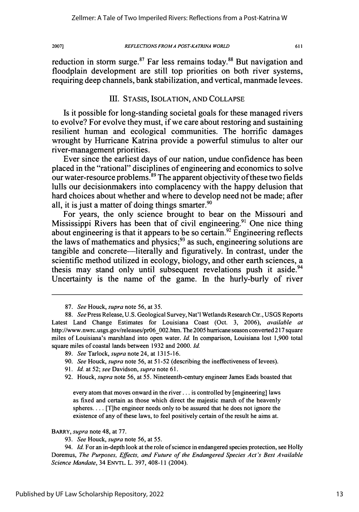*REFLECTIONS FROM A POST-KATRINA WORLD*

reduction in storm surge. $87$  Far less remains today. $88$  But navigation and floodplain development are still top priorities on both river systems, requiring deep channels, bank stabilization, and vertical, manmade levees.

### III. STASIS, ISOLATION, **AND** COLLAPSE

Is it possible for long-standing societal goals for these managed rivers to evolve? For evolve they must, if we care about restoring and sustaining resilient human and ecological communities. The horrific damages wrought by Hurricane Katrina provide a powerful stimulus to alter our river-management priorities.

Ever since the earliest days of our nation, undue confidence has been placed in the "rational" disciplines of engineering and economics to solve our water-resource problems.<sup>89</sup> The apparent objectivity of these two fields lulls our decisionmakers into complacency with the happy delusion that hard choices about whether and where to develop need not be made; after all, it is just a matter of doing things smarter. $90$ 

For years, the only science brought to bear on the Missouri and Mississippi Rivers has been that of civil engineering.<sup>91</sup> One nice thing about engineering is that it appears to be so certain.<sup>92</sup> Engineering reflects the laws of mathematics and physics;<sup>93</sup> as such, engineering solutions are tangible and concrete—literally and figuratively. In contrast, under the scientific method utilized in ecology, biology, and other earth sciences, a thesis may stand only until subsequent revelations push it aside.<sup>94</sup> Uncertainty is the name of the game. In the hurly-burly of river

- 89. *See* Tarlock, *supra* note 24, at 1315-16.
- 90. *See* Houck, *supra* note 56, at 51-52 (describing the ineffectiveness of levees).
- 91. *Id.* at 52; *see* Davidson, *supra* note 61.
- 92. Houck, *supra* note 56, at 55. Nineteenth-century engineer James Eads boasted that

every atom that moves onward in the river... is controlled by [engineering] laws as fixed and certain as those which direct the majestic march of the heavenly spheres.... [T]he engineer needs only to be assured that he does not ignore the existence of any of these laws, to feel positively certain of the result he aims at.

BARRY, *supra* note 48, at 77.

94. *Id.* For an in-depth look at the role of science in endangered species protection, see Holly Doremus, *The Purposes, Effects, and Future of the Endangered Species Act's Best Available Science Mandate,* 34 ENVTL. L. 397, 408-11 (2004).

13

<sup>87.</sup> *See* Houck, *supra* note 56, at 35.

<sup>88.</sup> *See* Press Release, U.S. Geological Survey, Nat'l Wetlands Research Ctr., USGS Reports Latest Land Change Estimates for Louisiana Coast (Oct. 3, 2006), *available at* http://www.nwrc.usgs.gov/releases/pr06\_OO2.htm. The 2005 hurricane season converted 217 square miles of Louisiana's marshland into open water. *Id.* In comparison, Louisiana lost 1,900 total square miles of coastal lands between 1932 and 2000. *Id.*

<sup>93.</sup> *See* Houck, *supra* note 56, at 55.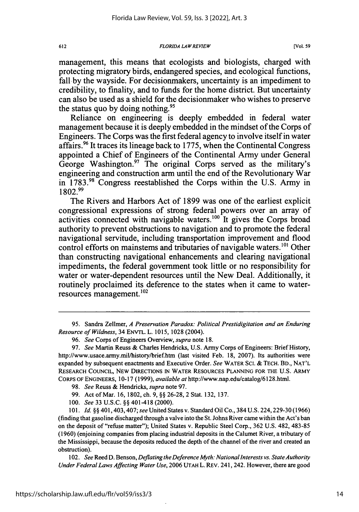management, this means that ecologists and biologists, charged with protecting migratory birds, endangered species, and ecological functions, fall by the wayside. For decisionmakers, uncertainty is an impediment to credibility, to finality, and to funds for the home district. But uncertainty can also be used as a shield for the decisionmaker who wishes to preserve the status quo by doing nothing.  $95$ 

Reliance on engineering is deeply embedded in federal water management because it is deeply embedded in the mindset of the Corps of Engineers. The Corps was the first federal agency to involve itself in water affairs. 96 It traces its lineage back to 1775, when the Continental Congress appointed a Chief of Engineers of the Continental Army under General George Washington.<sup>97</sup> The original Corps served as the military's engineering and construction arm until the end of the Revolutionary War in 1783.<sup>98</sup> Congress reestablished the Corps within the U.S. Army in **1802. <sup>99</sup>**

The Rivers and Harbors Act of 1899 was one of the earliest explicit congressional expressions of strong federal powers over an array of activities connected with navigable waters. $100$  It gives the Corps broad authority to prevent obstructions to navigation and to promote the federal navigational servitude, including transportation improvement and flood control efforts on mainstems and tributaries of navigable waters.<sup>101</sup> Other than constructing navigational enhancements and clearing navigational impediments, the federal government took little or no responsibility for water or water-dependent resources until the New Deal. Additionally, it routinely proclaimed its deference to the states when it came to water $resources$  management.<sup>102</sup>

95. Sandra Zellmer, *A Preservation Paradox: Political Prestidigitation and an Enduring Resource of Wildness,* 34 ENVTL. L. 1015, 1028 (2004).

- 99. Act of Mar. 16, 1802, ch. 9, §§ 26-28, 2 Stat. 132, 137.
- 100. *See* 33 U.S.C. §§ 401-418 (2000).

101. *Id.* §§ 401,403,407; *see* United States v. Standard Oil Co., 384 U.S. 224,229-30 (1966) (finding that gasoline discharged through a valve into the St. Johns River came within the Act's ban on the deposit of "refuse matter"); United States v. Republic Steel Corp., 362 U.S. 482, 483-85 (1960) (enjoining companies from placing industrial deposits in the Calumet River, a tributary of the Mississippi, because the deposits reduced the depth of the channel of the river and created an obstruction).

102. *See Reed D. Benson, Deflating the Deference Myth: National Interests vs. State Authority Under Federal Laws Affecting Water Use,* 2006 UTAH L. REv. 241, 242. However, there are good

<sup>96.</sup> *See* Corps of Engineers Overview, *supra* note 18.

<sup>97.</sup> *See* Martin Reuss & Charles Hendricks, U.S. Army Corps of Engineers: Brief History, http://www.usace.army.mil/history/brief.htm (last visited Feb. 18, 2007). Its authorities were expanded by subsequent enactments and Executive Order. *See* WATER SCI. & **TECH.** BD., NAT'L RESEARCH COUNCIL, NEW DIRECTIONS **IN** WATER RESOURCES **PLANNING** FOR **THE U.S.** ARMY CORPS OF ENGINEERS, 10-17 (1999), *available at* http://www.nap.edu/catalog/6128.html.

<sup>98.</sup> *See* Reuss & Hendricks, *supra* note 97.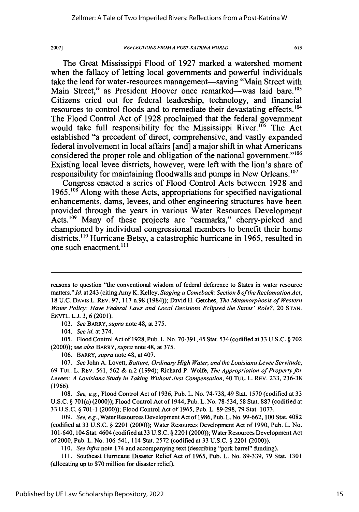### *REFLECTIONS FROM A POST-KA TRINA WORLD*

613

The Great Mississippi Flood of **1927** marked a watershed moment when the fallacy of letting local governments and powerful individuals take the lead for water-resources management-saving "Main Street with Main Street," as President Hoover once remarked—was laid bare.<sup>103</sup> Citizens cried out for federal leadership, technology, and financial resources to control floods and to remediate their devastating effects.<sup>104</sup> The Flood Control Act of **1928** proclaimed that the federal government would take full responsibility for the Mississippi River.<sup>105</sup> The Act established "a precedent of direct, comprehensive, and vastly expanded federal involvement in local affairs [and] a major shift in what Americans considered the proper role and obligation of the national government."<sup>106</sup> Existing local levee districts, however, were left with the lion's share of responsibility for maintaining floodwalls and pumps in New Orleans.<sup>107</sup>

Congress enacted a series of Flood Control Acts between **1928** and **1965.108** Along with these Acts, appropriations for specified navigational enhancements, dams, levees, and other engineering structures have been provided through the years in various Water Resources Development Acts.<sup>109</sup> Many of these projects are "earmarks," cherry-picked and championed **by** individual congressional members to benefit their home districts."0 Hurricane Betsy, a catastrophic hurricane in **1965,** resulted in one such enactment.<sup>111</sup>

103. *See BARRY, supra* note 48, at 375.

104. *See id.* at 374.

105. Flood Control Act of 1928, Pub. L. No. 70-391,45 Stat. 534 (codified at 33 U.S.C. § 702 (2000)); see *also* BARRY, *supra* note 48, at 375.

106. BARRY, *supra* note 48, at 407.

107. See John A. Lovett, *Batture, Ordinary High Water, and the Louisiana Levee Servitude,* 69 TUL. L. REv. 561, 562 & n.2 (1994); Richard P. Wolfe, *The Appropriation of Property for Levees: A Louisiana Study in Taking Without Just Compensation,* 40 TuL. L. REv. 233, 236-38 (1966).

108. See, *e.g.,* Flood Control Act of 1936, Pub. L. No. 74-738, 49 Stat. 1570 (codified at 33 U.S.C. § 701(a) (2000)); Flood Control Act of 1944, Pub. L. No. 78-534, 58 Stat. 887 (codified at 33 U.S.C. § 701-1 (2000)); Flood Control Act of 1965, Pub. L. 89-298, 79 Stat. 1073.

109. *See, e.g.,* Water Resources Development Act of 1986, Pub. L. No. 99-662, 100 Stat. 4082 (codified at 33 U.S.C. § 2201 (2000)); Water Resources Development Act of 1990, Pub. L. No. 101-640, 104 Stat. 4604 (codified at33 U.S.C. § 2201 (2000)); Water Resources Development Act of 2000, Pub. L. No. 106-541, 114 Stat. 2572 (codified at 33 U.S.C. § 2201 (2000)).

*110. See infra* note 174 and accompanying text (describing "pork barrel" funding).

111. Southeast Hurricane Disaster Relief Act of 1965, Pub. L. No. 89-339, 79 Stat. 1301 (allocating up to \$70 million for disaster relief).

reasons to question "the conventional wisdom of federal deference to States in water resource matters." *Id.* at 243 (citing Amy K. Kelley, *Staging a Comeback: Section 8 of the Reclamation Act,* 18 U.C. DAVIS L. REv. 97, 117 n.98 (1984)); David H. Getches, *The Metamorphosis of Western Water Policy: Have Federal Laws and Local Decisions Eclipsed the States' Role?,* 20 STAN. ENVTL. L.J. 3, 6 (2001).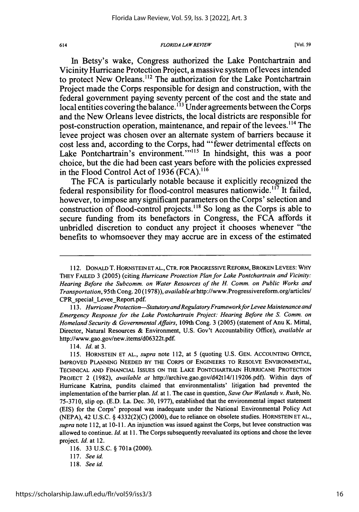#### *FLORIDA LAW REVIEW*

In Betsy's wake, Congress authorized the Lake Pontchartrain and Vicinity Hurricane Protection Project, a massive system of levees intended to protect New Orleans.<sup>112</sup> The authorization for the Lake Pontchartrain Project made the Corps responsible for design and construction, with the federal government paying seventy percent of the cost and the state and local entities covering the balance.<sup>113</sup> Under agreements between the Corps and the New Orleans levee districts, the local districts are responsible for post-construction operation, maintenance, and repair of the levees.<sup>114</sup> The levee project was chosen over an alternate system of barriers because it cost less and, according to the Corps, had "'fewer detrimental effects on Lake Pontchartrain's environment.""<sup>115</sup> In hindsight, this was a poor choice, but the die had been cast years before with the policies expressed in the Flood Control Act of **1936 (FCA). <sup>16</sup>**

The **FCA** is particularly notable because it explicitly recognized the federal responsibility for flood-control measures nationwide.<sup>117</sup> It failed, however, to impose any significant parameters on the Corps' selection and construction of flood-control projects.<sup>118</sup> So long as the Corps is able to secure funding from its benefactors in Congress, the **FCA** affords it unbridled discretion to conduct any project it chooses whenever "the benefits to whomsoever they may accrue are in excess of the estimated

113. Hurricane Protection-Statutory and Regulatory Framework for Levee Maintenance and *Emergency Response for the Lake Pontchartrain Project: Hearing Before the S. Comm. on Homeland Security & Governmental Affairs,* 109th Cong. 3 (2005) (statement of Anu K. Mittal, Director, Natural Resources **&** Environment, U.S. Gov't Accountability Office), *available at* http://www.gao.gov/new.items/d06322t.pdf.

114. *Id.* at 3.

115. HORNSTEIN ET **AL.,** *supra* note 112, at 5 (quoting U.S. GEN. ACCOUNTING OFFICE, IMPROVED PLANNING NEEDED BY THE CORPS OF ENGINEERS TO RESOLVE ENVIRONMENTAL, TECHNICAL AND FINANCIAL ISSUES ON THE LAKE PONTCHARTRAIN HURRICANE PROTECTION PROJECT 2 (1982), *available at* http://archive.gao.gov/d42t14/119206.pdf). Within days of Hurricane Katrina, pundits claimed that environmentalists' litigation had prevented the implementation of the barrier plan. *Id.* at 1. The case in question, *Save Our Wetlands v. Rush,* No. 75-3710, slip op. (E.D. La. Dec. 30, 1977), established that the environmental impact statement (EIS) for the Corps' proposal was inadequate under the National Environmental Policy Act (NEPA), 42 U.S.C. § 4332(2)(C) (2000), due to reliance on obsolete studies. HORNSTEIN ET AL., *supra* note 112, at 10-11. An injunction was issued against the Corps, but levee construction was allowed to continue. *Id.* at 11. The Corps subsequently reevaluated its options and chose the levee project. *Id.* at 12.

116. 33 U.S.C. § 701a(2000).

<sup>112.</sup> DONALD T. HORNSTEIN ET AL., CTR. FOR PROGRESSIVE REFORM, BROKEN LEVEES: WHY THEY FAILED 3 (2005) (citing *Hurricane Protection Plan for Lake Pontchartrain and Vicinity: Hearing Before the Subcomm. on Water Resources of the H. Comm. on Public Works and Transportation,* 95th Cong. 20 (1978)), *available* athttp://www.Progressivereform.org/articles/ CPR special Levee Report.pdf.

<sup>117.</sup> *See id.*

<sup>118.</sup> *See id.*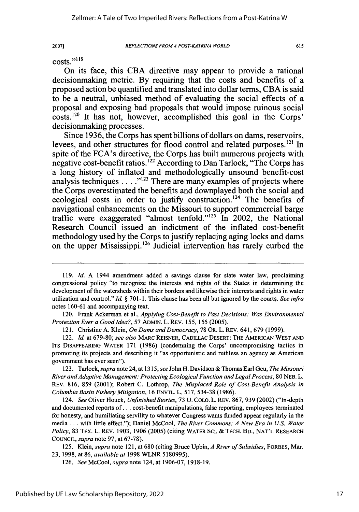*REFLECTIONS FROMA POST-KA TRINA WORLD*

615

costs."<sup>119</sup>

2007]

On its face, this **CBA** directive may appear to provide a rational decisionmaking metric. **By** requiring that the costs and benefits of a proposed action be quantified and translated into dollar terms, **CBA** is said to be a neutral, unbiased method of evaluating the social effects of a proposal and exposing bad proposals that would impose ruinous social costs.<sup>120</sup> It has not, however, accomplished this goal in the Corps' decisionmaking processes.

Since **1936,** the Corps has spent billions of dollars on dams, reservoirs, levees, and other structures for flood control and related purposes.<sup>121</sup> In spite of the FCA's directive, the Corps has built numerous projects with negative cost-benefit ratios.122 According to Dan Tarlock, "The Corps has *'a* long history of inflated and methodologically unsound benefit-cost analysis techniques . . . .<sup>"123</sup> There are many examples of projects where the Corps overestimated the benefits and downplayed both the social and ecological costs in order to justify construction.<sup>124</sup> The benefits of navigational enhancements on the Missouri to support commercial barge traffic were exaggerated "almost tenfold."<sup>125</sup> In 2002, the National Research Council issued an indictment of the inflated cost-benefit methodology used **by** the Corps to justify replacing aging locks and dams on the upper Mississippi.<sup>126</sup> Judicial intervention has rarely curbed the

120. Frank Ackerman et al., *Applying Cost-Benefit to Past Decisions: Was Environmental Protection Ever a GoodIdea?,* 57 ADMIN. L. REv. **155, 155** (2005).

121. Christine A. Klein, *On Dams and Democracy,* 78 OR. L. REv. 641, **679** (1999).

122. *Id.* at 679-80; *see also* MARC REISNER, CADILLAC DESERT: THE AMERICAN WEST **AND** ITS DISAPPEARING WATER **171** (1986) (condemning the Corps' uncompromising tactics in promoting its projects and describing it "as opportunistic and ruthless an agency as American government has ever seen").

123. Tarlock, *supra* note 24, at 1315; *see* John H. Davidson & Thomas Earl Geu, *The Missouri River and Adaptive Management: Protecting Ecological Function and Legal Process,* 80 NEB. L. REv. 816, 859 (2001); Robert C. Lothrop, *The Misplaced Role of Cost-Benefit Analysis in Columbia Basin Fishery Mitigation,* **16** ENVTL. L. **517,** 534-38 (1986).

124. *See* Oliver Houck, *Unfinished Stories,* **73** U. COLO. L. REv. 867, 939 (2002) ("In-depth and documented reports of... cost-benefit manipulations, false reporting, employees terminated for honesty, and humiliating servility to whatever Congress wants funded appear regularly in the media... with little effect."); Daniel McCool, *The River Commons: A New Era in U.S. Water Policy,* **83** TEx. L. REv. **1903,** 1906 (2005) (citing WATER SCI. & TECH. BD., **NAT'L** RESEARCH COUNCIL, *supra* note **97,** at 67-78).

125. Klein, *supra* note 121, at 680 (citing Bruce Upbin, *A River of Subsidies,* FORBES, Mar. 23, 1998, at **86,** *available at* 1998 WLNR 5180995).

126. *See* McCool, *supra* note 124, at 1906-07, 1918-19.

**<sup>119.</sup>** *Id.* A 1944 amendment added a savings clause for state water law, proclaiming congressional policy "to recognize the interests and rights of the States in determining the development of the watersheds within their borders and likewise their interests and rights in water utilization and control." *Id. §* 701-1. This clause has been all but ignored **by** the courts. *See* infra notes 160-61 and accompanying text.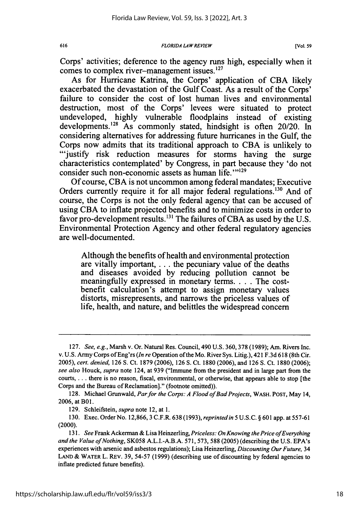Corps' activities; deference to the agency runs high, especially when it comes to complex river-management issues.'<sup>27</sup>

As for Hurricane Katrina, the Corps' application of CBA likely exacerbated the devastation of the Gulf Coast. As a result of the Corps' failure to consider the cost of lost human lives and environmental destruction, most of the Corps' levees were situated to protect undeveloped, highly vulnerable floodplains instead of existing developments.<sup>128</sup> As commonly stated, hindsight is often 20/20. In considering alternatives for addressing future hurricanes in the Gulf, the Corps now admits that its traditional approach to CBA is unlikely to "'justify risk reduction measures for storms having the surge characteristics contemplated' by Congress, in part because they 'do not consider such non-economic assets as human life. $"$ <sup>129</sup>

Of course, CBA is not uncommon among federal mandates; Executive Orders currently require it for all major federal regulations.<sup>130</sup> And of course, the Corps is not the only federal agency that can be accused of using CBA to inflate projected benefits and to minimize costs in order to favor pro-development results.<sup>131</sup> The failures of CBA as used by the U.S. Environmental Protection Agency and other federal regulatory agencies are well-documented.

Although the benefits of health and environmental protection are vitally important,... the pecuniary value of the deaths and diseases avoided by reducing pollution cannot be meaningfully expressed in monetary terms **....** The costbenefit calculation's attempt to assign monetary values distorts, misrepresents, and narrows the priceless values of life, health, and nature, and belittles the widespread concern

<sup>127.</sup> *See, e.g.,* Marsh v. Or. Natural Res. Council, 490 U.S. 360,378 (1989); Am. Rivers Inc. v. U.S. Army Corps of Eng'rs *(In re* Operation of the Mo. River Sys. Litig.), 421 F.3d 618 (8th Cir. *2005), cert. denied,* 126 **S.** Ct. 1879 (2006), 126 S. Ct. 1880 (2006), and 126 **S.** Ct. 1880 (2006); *see also* Houck, *supra* note 124, at 939 ("Immune from the president and in large part from the courts, ... there is no reason, fiscal, environmental, or otherwise, that appears able to stop [the Corps and the Bureau of Reclamation]." (footnote omitted)).

<sup>128.</sup> Michael Grunwald, *Par for the Corps: A Flood of Bad Projects,* WASH. POST, May 14, 2006, at B01.

<sup>129.</sup> Schleifstein, *supra* note 12, at 1.

<sup>130.</sup> Exec. Order No. 12,866, 3 C.F.R. 638 (1993), *reprinted in* **5** U.S.C. § 601 app. at 557-61 (2000).

**<sup>131.</sup>** *See* Frank Ackerman & Lisa Heinzerling, *Priceless: On Knowing the Price ofEverything and the Value of Nothing,* **SK058** A.L.I.-A.B.A. **571,** 573, **588** (2005) (describing the U.S. EPA's experiences with arsenic and asbestos regulations); Lisa Heinzerling, *Discounting Our Future,* 34 LAND & WATER L. REV. 39, 54-57 (1999) (describing use of discounting by federal agencies to inflate predicted future benefits).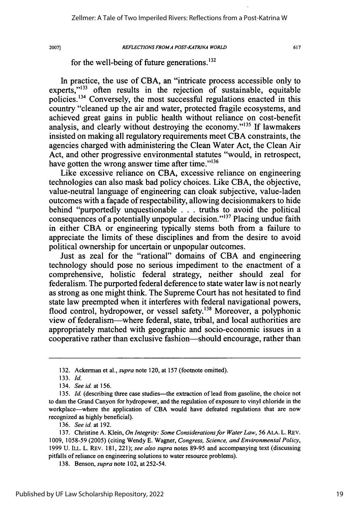### *REFLECTIONS FROMA POST-KATRINA WORLD*

617

### for the well-being of future generations. $^{132}$

In practice, the use of CBA, an "intricate process accessible only to experts."<sup>133</sup> often results in the rejection of sustainable, equitable policies.'34 Conversely, the most successful regulations enacted in this country "cleaned up the air and water, protected fragile ecosystems, and achieved great gains in public health without reliance on cost-benefit analysis, and clearly without destroying the economy."<sup>135</sup> If lawmakers insisted on making all regulatory requirements meet CBA constraints, the agencies charged with administering the Clean Water Act, the Clean Air Act, and other progressive environmental statutes "would, in retrospect, have gotten the wrong answer time after time." $136$ 

Like excessive reliance on CBA, excessive reliance on engineering technologies can also mask bad policy choices. Like CBA, the objective, value-neutral language of engineering can cloak subjective, value-laden outcomes with a fagade of respectability, allowing decisionmakers to hide behind "purportedly unquestionable . . . truths to avoid the political consequences of a potentially unpopular decision."<sup>137</sup> Placing undue faith in either CBA or engineering typically stems both from a failure to appreciate the limits of these disciplines and from the desire to avoid political ownership for uncertain or unpopular outcomes.

Just as zeal for the "rational" domains of CBA and engineering technology should pose no serious impediment to the enactment of a comprehensive, holistic federal strategy, neither should zeal for federalism. The purported federal deference to state water law is not nearly as strong as one might think. The Supreme Court has not hesitated to find state law preempted when it interferes with federal navigational powers, flood control, hydropower, or vessel safety.<sup>138</sup> Moreover, a polyphonic view of federalism-where federal, state, tribal, and local authorities are appropriately matched with geographic and socio-economic issues in a cooperative rather than exclusive fashion-should encourage, rather than

<sup>132.</sup> Ackerman et al., *supra* note 120, at 157 (footnote omitted).

<sup>133.</sup> Id.

<sup>134.</sup> *See id.* at 156.

<sup>135.</sup> *Id.* (describing three case studies—the extraction of lead from gasoline, the choice not to dam the Grand Canyon for hydropower, and the regulation of exposure to vinyl chloride in the workplace-where the application of **CBA** would have defeated regulations that are now recognized as highly beneficial).

<sup>136.</sup> *See id.* at 192.

<sup>137.</sup> Christine A. Klein, *On Integrity: Some Considerations for Water Law,* 56 ALA. L. REV. 1009, 1058-59 (2005) (citing Wendy E. Wagner, *Congress, Science, and Environmental Policy,* 1999 U. ILL. L. REv. 181, 221); *see also supra* notes 89-95 and accompanying text (discussing pitfalls of reliance on engineering solutions to water resource problems).

<sup>138.</sup> Benson, *supra* note 102, at 252-54.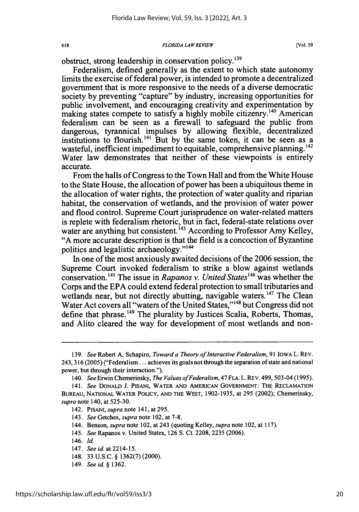obstruct, strong leadership in conservation policy.<sup>139</sup>

618

Federalism, defined generally as the extent to which state autonomy limits the exercise of federal power, is intended to promote a decentralized government that is more responsive to the needs of a diverse democratic society by preventing "capture" by industry, increasing opportunities for public involvement, and encouraging creativity and experimentation by making states compete to satisfy a highly mobile citizenry.<sup>140</sup> American federalism can be seen as a firewall to safeguard the public from dangerous, tyrannical impulses by allowing flexible, decentralized institutions to flourish.<sup>141</sup> But by the same token, it can be seen as a wasteful, inefficient impediment to equitable, comprehensive planning.<sup>142</sup> Water law demonstrates that neither of these viewpoints is entirely accurate.

From the halls of Congress to the Town Hall and from the White House to the State House, the allocation of power has been a ubiquitous theme in the allocation of water rights, the protection of water quality and riparian habitat, the conservation of wetlands, and the provision of water power and flood control. Supreme Court jurisprudence on water-related matters is replete with federalism rhetoric, but in fact, federal-state relations over water are anything but consistent.<sup>143</sup> According to Professor Amy Kelley, "A more accurate description is that the field is a concoction of Byzantine politics and legalistic archaeology."<sup>144</sup>

In one of the most anxiously awaited decisions of the 2006 session, the Supreme Court invoked federalism to strike a blow against wetlands conservation.145 The issue in *Rapanos v. United States146* was whether the Corps and the EPA could extend federal protection to small tributaries and wetlands near, but not directly abutting, navigable waters.<sup>147</sup> The Clean Water Act covers all "waters of the United States,"'48 but Congress did not define that phrase.<sup>149</sup> The plurality by Justices Scalia, Roberts, Thomas, and Alito cleared the way for development of most wetlands and non-

- 148. 33 U.S.C. § 1362(7) (2000).
- 149. *See id. §* 1362.

<sup>139.</sup> *See* Robert A. Schapiro, *Toward a Theory of Interactive Federalism*, 91 IOWA L. REV. 243, 316 (2005) ("Federalism... achieves its goals not through the separation of state and national power, but through their interaction.").

<sup>140.</sup> *See* Erwin Chemerinsky, *The Values ofFederalism,* 47 FLA. L. REV. 499,503-04 (1995).

<sup>141.</sup> *See* DONALD J. PISANI, WATER AND AMERICAN GOVERNMENT: THE RECLAMATION BUREAU, NATIONAL WATER POLICY, AND THE WEST, 1902-1935, at 295 (2002); Chemerinsky, *supra* note 140, at 525-30.

<sup>142.</sup> PISANI, *supra* note 141, at 295.

<sup>143.</sup> *See* Getches, *supra* note 102, at 7-8.

<sup>144.</sup> Benson, *supra* note 102, at 243 (quoting Kelley, *supra* note 102, at 117).

<sup>145.</sup> *See* Rapanos v. United States, 126 S. Ct. 2208, 2235 (2006).

<sup>146.</sup> *Id.*

<sup>147.</sup> *See id.* at 2214-15.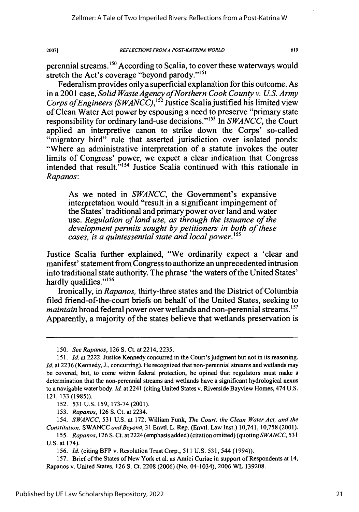### *REFLECTIONS FROM A POST-KA TRINA WORLD*

619

perennial streams.<sup>150</sup> According to Scalia, to cover these waterways would stretch the Act's coverage "beyond parody."<sup>15</sup>

Federalism provides only a superficial explanation for this outcome. As in a 2001 case, *Solid Waste Agency ofNorthern Cook County v. U.S. Army Corps of Engineers (SWANCC)*,<sup>152</sup> Justice Scalia justified his limited view of Clean Water Act power by espousing a need to preserve "primary state responsibility for ordinary land-use decisions."<sup>153</sup> In *SWANCC*, the Court applied an interpretive canon to strike down the Corps' so-called "migratory bird" rule that asserted jurisdiction over isolated ponds: "Where an administrative interpretation of a statute invokes the outer limits of Congress' power, we expect a clear indication that Congress intended that  $r$ esult. $^{5,154}$  Justice Scalia continued with this rationale in *Rapanos:*

As we noted in *SWANCC,* the Government's expansive interpretation would "result in a significant impingement of the States' traditional and primary power over land and water use. *Regulation of land use, as through the issuance of the development permits sought by petitioners in both of these cases, is a quintessential state and local power.'55*

Justice Scalia further explained, "We ordinarily expect a 'clear and manifest' statement from Congress to authorize an unprecedented intrusion into traditional state authority. The phrase 'the waters of the United States' hardly qualifies."<sup>156</sup>

Ironically, in *Rapanos,* thirty-three states and the District of Columbia filed friend-of-the-court briefs on behalf of the United States, seeking to *maintain* broad federal power over wetlands and non-perennial streams.<sup>157</sup> Apparently, a majority of the states believe that wetlands preservation is

152. 531 U.S. 159, 173-74 (2001).

153. *Rapanos,* 126 **S.** Ct. at 2234.

154. *SWANCC,* 531 U.S. at 172; William Funk, *The Court, the Clean Water Act, and the Constitution:* SWANCC *and Beyond,* 31 Envtl. L. Rep. (Envtl. Law Inst.) 10,741, 10,758 (2001).

155. *Rapanos,* 126 S. Ct. at 2224 (emphasis added) (citation omitted) (quoting *SWANCC,* 531 U.S. at 174).

156. *Id.* (citing BFP v. Resolution Trust Corp., 511 U.S. 531, 544 (1994)).

157. Brief of the States of New York et al. as Amici Curiae in support of Respondents at 14, Rapanos v. United States, 126 **S.** Ct. 2208 (2006) (No. 04-1034), 2006 WL 139208.

<sup>150.</sup> *See Rapanos,* 126 S. Ct. at 2214, 2235.

<sup>151.</sup> *Id.* at 2222. Justice Kennedy concurred in the Court's judgment but not in its reasoning. *Id.* at 2236 (Kennedy, J., concurring). He recognized that non-perennial streams and wetlands may be covered, but, to come within federal protection, he opined that regulators must make a determination that the non-perennial streams and wetlands have a significant hydrological nexus to a navigable water body. *Id.* at 2241 (citing United States v. Riverside Bayview Homes, 474 U.S. 121, 133 (1985)).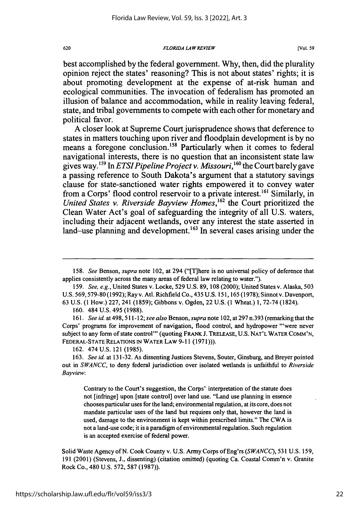*FLORIDA LAWREVIEW*

best accomplished **by** the federal government. **Why,** then, did the plurality opinion reject the states' reasoning? This is not about states' rights; it is about promoting development at the expense of at-risk human and ecological communities. The invocation of federalism has promoted an illusion of balance and accommodation, while in reality leaving federal, state, and tribal governments to compete with each other for monetary and political favor.

**A** closer look at Supreme Court jurisprudence shows that deference to states in matters touching upon river and floodplain development is **by** no means a foregone conclusion.<sup>158</sup> Particularly when it comes to federal navigational interests, there is no question that an inconsistent state law gives way.5 9 In *ETSIPipeline Project v. Missouri,60* the Court barely gave a passing reference to South Dakota's argument that a statutory savings clause for state-sanctioned water rights empowered it to convey water from a Corps' flood control reservoir to a private interest.<sup>161</sup> Similarly, in *United States v. Riverside Bayview Homes,162* the Court prioritized the Clean Water Act's goal of safeguarding the integrity of all **U.S.** waters, including their adjacent wetlands, over any interest the state asserted in land-use planning and development.<sup>163</sup> In several cases arising under the

160. 484 U.S. 495 (1988).

*161. See id.* at 498, 511-12; *see also* Benson, *supra* note 102, at 297 n.393 (remarking that the Corps' programs for improvement of navigation, flood control, and hydropower "were never subject to any form of state control' (quoting FRANK J. TRELEASE, U.S. **NAT'L** WATER **COMM'N, FEDERAL-STATE RELATIONS IN** WATER LAW 9-11 (1971))).

162. 474 U.S. 121 (1985).

Contrary to the Court's suggestion, the Corps' interpretation of the statute does not [infringe] upon [state control] over land use. "Land use planning in essence chooses particular uses for the land; environmental regulation, at its core, does not mandate particular uses of the land but requires only that, however the land is used, damage to the environment is kept within prescribed limits." The CWA is not a land-use code; it is a paradigm of environmental regulation. Such regulation is an accepted exercise of federal power.

Solid Waste Agency of N. Cook County v. U.S. Army Corps of Eng'rs *(SWANCC),* 531 U.S. 159, 191 (2001) (Stevens, J., dissenting) (citation omitted) (quoting Ca. Coastal Comm'n v. Granite Rock Co., 480 U.S. 572, 587 (1987)).

<sup>158.</sup> *See* Benson, *supra* note 102, at 294 ("[T]here is no universal policy of deference that applies consistently across the many areas of federal law relating to water.").

<sup>159.</sup> *See, e.g.,* United States v. Locke, 529 U.S. 89, 108 (2000); United States v. Alaska, 503 U.S. 569,579-80 (1992); Ray v. Atl. Richfield Co., 435 U.S. 151, 165 (1978); Sinnot v. Davenport, 63 U.S. (1 How.) 227, 241 (1859); Gibbons v. Ogden, 22 U.S. (1 Wheat.) 1, 72-74 (1824).

<sup>163.</sup> *See id.* at 131-32. As dissenting Justices Stevens, Souter, Ginsburg, and Breyer pointed out in *SWANCC,* to deny federal jurisdiction over isolated wetlands is unfaithful to *Riverside Bayview:*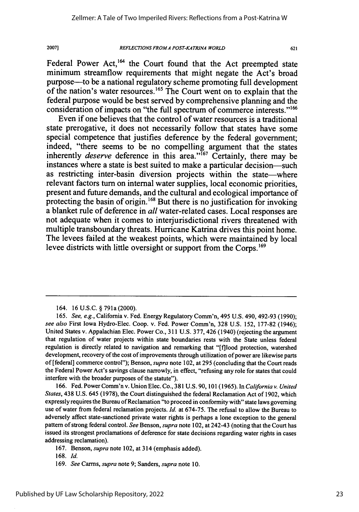Federal Power Act,<sup>164</sup> the Court found that the Act preempted state minimum streamflow requirements that might negate the Act's broad purpose-to be a national regulatory scheme promoting full development of the nation's water resources.<sup>165</sup> The Court went on to explain that the federal purpose would be best served **by** comprehensive planning and the consideration of impacts on "the full spectrum of commerce **interests.""**

Even if one believes that the control of water resources is a traditional state prerogative, it does not necessarily follow that states have some special competence that justifies deference **by** the federal government; indeed, "there seems to be no compelling argument that the states inherently *deserve* deference in this area."<sup>167</sup> Certainly, there may be instances where a state is best suited to make a particular decision-such as restricting inter-basin diversion projects within the state—where relevant factors turn on internal water supplies, local economic priorities, present and future demands, and the cultural and ecological importance of protecting the basin of origin.<sup>168</sup> But there is no justification for invoking a blanket rule of deference in *all* water-related cases. Local responses are not adequate when it comes to interjurisdictional rivers threatened with multiple transboundary threats. Hurricane Katrina drives this point home. The levees failed at the weakest points, which were maintained **by** local levee districts with little oversight or support from the Corps.<sup>169</sup>

164. 16U.S.C. § 791a(2000).

166. Fed. Power Comm'n v. Union Elec. Co., 381 U.S. 90, 101 (1965). In *California v. United States,* 438 U.S. 645 (1978), the Court distinguished the federal Reclamation Act of 1902, which expressly requires the Bureau of Reclamation "to proceed in conformity with" state laws governing use of water from federal reclamation projects. *Id.* at 674-75. The refusal to allow the Bureau to adversely affect state-sanctioned private water rights is perhaps a lone exception to the general pattern of strong federal control. *See* Benson, *supra* note 102, at 242-43 (noting that the Court has issued its strongest proclamations of deference for state decisions regarding water rights in cases addressing reclamation).

167. Benson, *supra* note 102, at 314 (emphasis added).

168. Id.

169. *See* Carms, *supra* note 9; Sanders, *supra* note 10.

*<sup>165.</sup> See, e.g.,* California v. Fed. Energy Regulatory Comm'n, 495 U.S. 490, 492-93 (1990); *see also* First Iowa Hydro-Elec. Coop. v. Fed. Power Comm'n, 328 U.S. 152, 177-82 (1946); United States v. Appalachian Elec. Power Co., 311 U.S. 377, 426 (1940) (rejecting the argument that regulation of water projects within state boundaries rests with the State unless federal regulation is directly related to navigation and remarking that "[f]lood protection, watershed development, recovery of the cost of improvements through utilization of power are likewise parts of [federal] commerce control"); Benson, *supra* note 102, at 295 (concluding that the Court reads the Federal Power Act's savings clause narrowly, in effect, "refusing any role for states that could interfere with the broader purposes of the statute").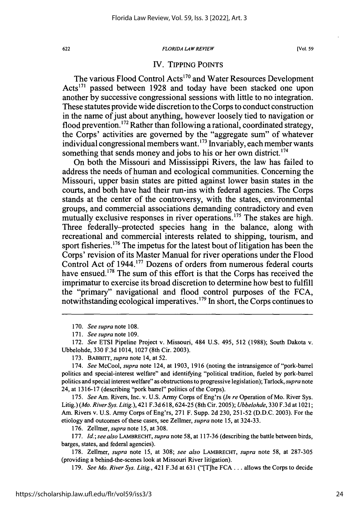### *FLORIDA LAWREVIEW*

### IV. TIPPING POINTS

The various Flood Control Acts<sup>170</sup> and Water Resources Development Acts<sup>171</sup> passed between 1928 and today have been stacked one upon another by successive congressional sessions with little to no integration. These statutes provide wide discretion to the Corps to conduct construction in the name of just about anything, however loosely tied to navigation or flood prevention.<sup>172</sup> Rather than following a rational, coordinated strategy, the Corps' activities are governed by the "aggregate sum" of whatever individual congressional members want. **' <sup>73</sup>**Invariably, each member wants something that sends money and jobs to his or her own district.<sup>174</sup>

On both the Missouri and Mississippi Rivers, the law has failed to address the needs of human and ecological communities. Concerning the Missouri, upper basin states are pitted against lower basin states in the courts, and both have had their run-ins with federal agencies. The Corps stands at the center of the controversy, with the states, environmental groups, and commercial associations demanding contradictory and even mutually exclusive responses in river operations.<sup>175</sup> The stakes are high. Three federally-protected species hang in the balance, along with recreational and commercial interests related to shipping, tourism, and sport fisheries.<sup>176</sup> The impetus for the latest bout of litigation has been the Corps' revision of its Master Manual for river operations under the Flood Control Act of 1944.<sup>177</sup> Dozens of orders from numerous federal courts have ensued.<sup>178</sup> The sum of this effort is that the Corps has received the imprimatur to exercise its broad discretion to determine how best to fulfill the "primary" navigational and flood control purposes of the FCA, notwithstanding ecological imperatives.'79 In short, the Corps continues to

170. *See supra* note 108.

172. *See* ETSI Pipeline Project v. Missouri, 484 U.S. 495, 512 (1988); South Dakota v. Ubbelohde, 330 F.3d 1014, 1027 (8th Cir. 2003).

173. BABBITT, *supra* note 14, at 52.

174. *See* McCool, *supra* note 124, at 1903, 1916 (noting the intransigence of "pork-barrel politics and special-interest welfare" and identifying "political tradition, fueled by pork-barrel politics and special interest welfare" as obstructions to progressive legislation); Tarlock, *supra* note 24, at 1316-17 (describing "pork barrel" politics of the Corps).

175. *See* Am. Rivers, Inc. v. U.S. Army Corps of Eng'rs *(In re* Operation of Mo. River Sys. Litig.) *(Mo. River Sys. Litig.),* 421 F.3d 618, 624-25 (8th Cir. 2005); *Ubbelohde,* 330 F.3d at 102 **1;** Am. Rivers v. U.S. Army Corps of Eng'rs, 271 F. Supp. 2d 230, 251-52 (D.D.C. 2003). For the etiology and outcomes of these cases, see Zellmer, *supra* note 15, at 324-33.

176. Zellmer, *supra* note **15,** at 308.

177. *Id.; see also* LAMBRECHT, *supra* note **58,** at 117-36 (describing the battle between birds, barges, states, and federal agencies).

178. Zellmer, *supra* note 15, at 308; *see also* LAMBRECHT, *supra* note 58, at 287-305 (providing a behind-the-scenes look at Missouri River litigation).

179. *See Mo. River Sys. Litig.,* 421 F.3d at 631 ("[T]he FCA **...** allows the Corps to decide

<sup>171.</sup> *See supra note* 109.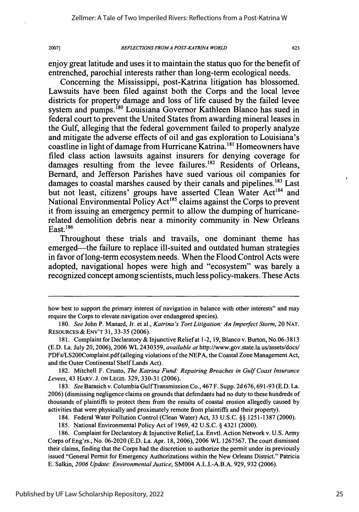2007]

623

enjoy great latitude and uses it to maintain the status quo for the benefit of entrenched, parochial interests rather than long-term ecological needs.

Concerning the Mississippi, post-Katrina litigation has blossomed. Lawsuits have been filed against both the Corps and the local levee districts for property damage and loss of life caused by the failed levee system and pumps.<sup>180</sup> Louisiana Governor Kathleen Blanco has sued in federal court to prevent the United States from awarding mineral leases in the Gulf, alleging that the federal government failed to properly analyze and mitigate the adverse effects of oil and gas exploration to Louisiana's coastline in light of damage from Hurricane Katrina.<sup>181</sup> Homeowners have filed class action lawsuits against insurers for denying coverage for damages resulting from the levee failures.<sup>182</sup> Residents of Orleans, Bernard, and Jefferson Parishes have sued various oil companies for damages to coastal marshes caused by their canals and pipelines.<sup>183</sup> Last but not least, citizens' groups have asserted Clean Water Act<sup>184</sup> and National Environmental Policy Act<sup>185</sup> claims against the Corps to prevent it from issuing an emergency permit to allow the dumping of hurricanerelated demolition debris near a minority community in New Orleans East.  $186$ 

Throughout these trials and travails, one dominant theme has emerged—the failure to replace ill-suited and outdated human strategies in favor of long-term ecosystem needs. When the Flood Control Acts were adopted, navigational hopes were high and "ecosystem" was barely a recognized concept among scientists, much less policy-makers. These Acts

182. Mitchell F. Crusto, *The Katrina Fund: Repairing Breaches in Gulf Coast Insurance Levees,* 43 HARV. J. ON LEGIS. 329, 330-31 (2006).

183. *See* Barasich v. Columbia Gulf Transmission Co., 467 F. Supp. 2d 676,691-93 (E.D. La. 2006) (dismissing negligence claims on grounds that defendants had no duty to these hundreds of thousands of plaintiffs to protect them from the results of coastal erosion allegedly caused by activities that were physically and proximately remote from plaintiffs and their property).

how best to support the primary interest of navigation in balance with other interests" and may require the Corps to elevate navigation over endangered species).

<sup>180.</sup> *See* John P. Manard, Jr. et al., *Katrina's Tort Litigation: An Imperfect Storm,* 20 **NAT. RESOURCES** & ENV'T 31, 33-35 (2006).

<sup>181.</sup> Complaint for Declaratory & Injunctive Relief at 1-2, 19, Blanco v. Burton, No.06-3813 (E.D. La. July 20, 2006), 2006 WL 2430359, *available at* http://www.gov.state.la.us/assets/docs/ PDFs/LS200Complaint.pdf (alleging violations of the NEPA, the Coastal Zone Management Act, and the Outer Continental Shelf Lands Act).

<sup>184.</sup> Federal Water Pollution Control (Clean Water) Act, 33 U.S.C. §§ 1251-1387 (2000).

<sup>185.</sup> National Environmental Policy Act of 1969, 42 U.S.C. § 4321 (2000).

<sup>186.</sup> Complaint for Declaratory & Injunctive Relief, La. Envtl. Action Network v. U.S. Army Corps of Eng'rs., No. 06-2020 (E.D. La. Apr. 18, 2006), 2006 WL 1267567. The court dismissed their claims, finding that the Corps had the discretion to authorize the permit under its previously issued "General Permit for Emergency Authorizations within the New Orleans District." Patricia E. Salkin, *2006 Update: Environmental Justice,* SM004 A.L.I.-A.B.A. 929, 932 (2006).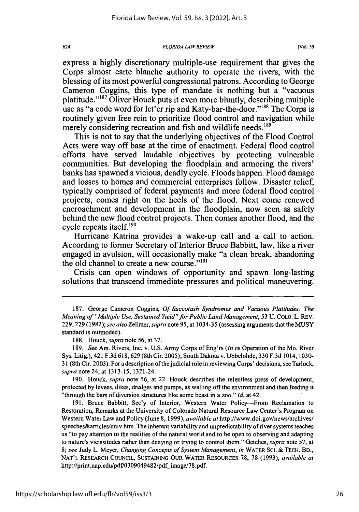express a **highly** discretionary multiple-use requirement that gives the Corps almost carte blanche authority to operate the rivers, with the blessing of its most powerful congressional patrons. According to George Cameron Coggins, this type of mandate is nothing but a "vacuous platitude."<sup>187</sup> Oliver Houck puts it even more bluntly, describing multiple use as "a code word for let'er rip and Katy-bar-the-door."<sup>188</sup> The Corps is routinely given free rein to prioritize flood control and navigation while merely considering recreation and fish and wildlife needs.<sup>189</sup>

This is not to say that the underlying objectives of the Flood Control Acts were way off base at the time of enactment. Federal flood control efforts have served laudable objectives **by** protecting vulnerable communities. But developing the floodplain and armoring the rivers' banks has spawned a vicious, deadly cycle. Floods happen. Flood damage and losses to homes and commercial enterprises follow. Disaster relief, typically comprised of federal payments and more federal flood control projects, comes right on the heels of the flood. Next come renewed encroachment and development in the floodplain, now seen as safely behind the new flood control projects. Then comes another flood, and the cycle repeats itself.'90

Hurricane Katrina provides a wake-up call and a call to action. According to former Secretary of Interior Bruce Babbitt, law, like a river engaged in avulsion, will occasionally make "a clean break, abandoning the old channel to create a new course."<sup>191</sup>

Crisis can open windows of opportunity and spawn long-lasting solutions that transcend immediate pressures and political maneuvering.

190. Houck, *supra* note 56, at 22. Houck describes the relentless press of development, protected **by** levees, dikes, dredges and pumps, as walling off the environment and then feeding it "through the bars of diversion structures like some beast in a zoo." *Id.* at 42.

191. Bruce Babbitt, Sec'y of Interior, Western Water Policy-From Reclamation to Restoration, Remarks at the University of Colorado Natural Resource Law Center's Program on Western Water Law and Policy (June 8, 1999), *available at* http://www.doi.gov/news/archives/ speeches&articles/univ.htm. The inherent variability and unpredictability of river systems teaches us "to pay attention to the realities of the natural world and to be open to observing and adapting to nature's vicissitudes rather than denying or trying to control them." Getches, *supra* note 57, at 8; *see* Judy L. Meyer, *Changing Concepts of System Management, in* WATER **SCI.** & TECH. BD., NAT'L RESEARCH COUNCIL, SUSTAINING OUR WATER RESOURCES 78, 78 (1993), *available at* http://print.nap.edu/pdf/0309049482/pdf image/78.pdf.

624

<sup>187.</sup> George Cameron Coggins, *Of Succotash Syndromes and Vacuous Platitudes: The Meaning of "Multiple Use, Sustained Yield"for Public Land Management,* 53 U. COLO. L. REV. 229, 229 (1982); *see also* Zellmer, *supra* note 95, at 1034-35 (assessing arguments that the MUSY standard is outmoded).

<sup>188.</sup> Houck, *supra* note 56, at 37.

<sup>189.</sup> *See* Am. Rivers, Inc. v. U.S. Army Corps of Eng'rs *(In re* Operation of the Mo. River Sys. Litig.), 421 F.3d 618,629 (8th Cir. 2005); South Dakota v. Ubbelohde, 330 F.3d 1014, 1030- 31 (8th Cir. 2003). For a description of the judicial role in reviewing Corps' decisions, see Tarlock, *supra* note 24, at 1313-15, 1321-24.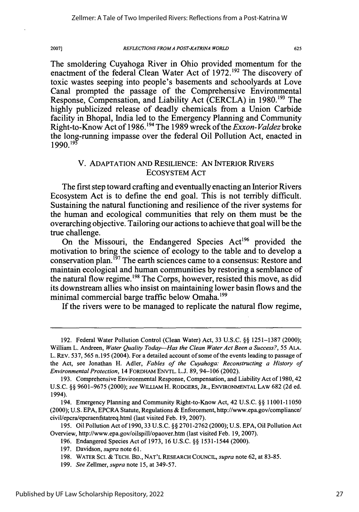2007]

### *REFLECTIONS FROMA POST-KATRINA WORLD*

625

The smoldering Cuyahoga River in Ohio provided momentum for the enactment of the federal Clean Water Act of 1972.192 The discovery of toxic wastes seeping into people's basements and schoolyards at Love Canal prompted the passage of the Comprehensive Environmental Response, Compensation, and Liability Act (CERCLA) in **1980.'9'** The highly publicized release of deadly chemicals from a Union Carbide facility in Bhopal, India led to the Emergency Planning and Community Right-to-Know Act of 1986.194 The 1989 wreck of the *Exxon- Valdez* broke the long-running impasse over the federal Oil Pollution Act, enacted in **1990.19f**

# V. ADAPTATION AND RESILIENCE: AN INTERIOR RIVERS ECOSYSTEM ACT

The first step toward crafting and eventually enacting an Interior Rivers Ecosystem Act is to define the end goal. This is not terribly difficult. Sustaining the natural functioning and resilience of the river systems for the human and ecological communities that rely on them must be the overarching objective. Tailoring our actions to achieve that goal will be the true challenge.

On the Missouri, the Endangered Species  $Act^{196}$  provided the motivation to bring the science of ecology to the table and to develop a conservation plan.<sup>197</sup> The earth sciences came to a consensus: Restore and maintain ecological and human communities by restoring a semblance of the natural flow regime.<sup>198</sup> The Corps, however, resisted this move, as did its downstream allies who insist on maintaining lower basin flows and the minimal commercial barge traffic below Omaha.<sup>199</sup>

If the rivers were to be managed to replicate the natural flow regime,

<sup>192.</sup> Federal Water Pollution Control (Clean Water) Act, 33 U.S.C. §§ 1251-1387 (2000); William L. Andreen, *Water Quality Today--Has the Clean Water Act Been a Success?, 55* **ALA.** L. REv. 537, 565 n. 195 (2004). For a detailed account of some of the events leading to passage of the Act, see Jonathan H. Adler, *Fables of the Cuyahoga: Reconstructing a History of Environmental Protection,* 14 FORDHAM ENvTL. L.J. 89, 94-106 (2002).

<sup>193.</sup> Comprehensive Environmental Response, Compensation, and Liability Act of 1980,42 U.S.C. §§ 9601-9675 (2000); *see* WILLIAM H. RODGERS, JR., ENVIRONMENTAL LAW 682 (2d ed. 1994).

<sup>194.</sup> Emergency Planning and Community Right-to-Know Act, 42 U.S.C. §§ 11001-11050 (2000); U.S. EPA, EPCRA Statute, Regulations & Enforcement, http://www.epa.gov/compliance/ civil/epcra/epcraenfstatreq.html (last visited Feb. 19, 2007).

<sup>195.</sup> Oil Pollution Act of 1990,33 U.S.C. §§ 2701-2762 (2000); U.S. EPA, Oil Pollution Act Overview, http://www.epa.gov/oilspill/opaover.htm (last visited Feb. 19, 2007).

<sup>196.</sup> Endangered Species Act of 1973, 16 U.S.C. §§ 1531-1544 (2000).

<sup>197.</sup> Davidson, *supra* note 61.

<sup>198.</sup> WATER SCI. & **TECH.** BD., **NAT'L** RESEARCH COUNCIL, *supra* note 62, at 83-85.

<sup>199.</sup> *See* Zellmer, *supra* note 15, at 349-57.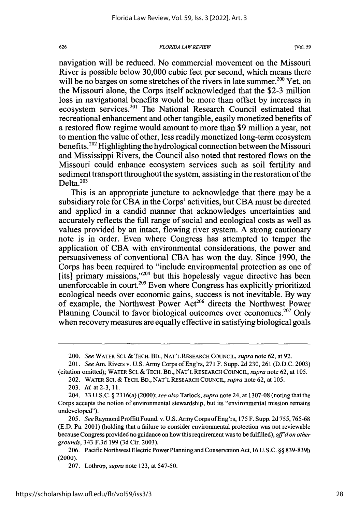navigation will be reduced. No commercial movement on the Missouri River is possible below 30,000 cubic feet per second, which means there will be no barges on some stretches of the rivers in late summer.<sup>200</sup> Yet, on the Missouri alone, the Corps itself acknowledged that the \$2-3 million loss in navigational benefits would be more than offset by increases in ecosystem services.<sup>201</sup> The National Research Council estimated that recreational enhancement and other tangible, easily monetized benefits of a restored flow regime would amount to more than \$9 million a year, not to mention the value of other, less readily monetized long-term ecosystem benefits.202 Highlighting the hydrological connection between the Missouri and Mississippi Rivers, the Council also noted that restored flows on the Missouri could enhance ecosystem services such as soil fertility and sediment transport throughout the system, assisting in the restoration of the Delta. $203$ 

This is an appropriate juncture to acknowledge that there may be a subsidiary role for CBA in the Corps' activities, but CBA must be directed and applied in a candid manner that acknowledges uncertainties and accurately reflects the full range of social and ecological costs as well as values provided by an intact, flowing river system. A strong cautionary note is in order. Even where Congress has attempted to temper the application of CBA with environmental considerations, the power and persuasiveness of conventional CBA has won the day. Since 1990, the Corps has been required to "include environmental protection as one of  $[its]$  primary missions,"<sup>204</sup> but this hopelessly vague directive has been unenforceable in court.<sup>205</sup> Even where Congress has explicitly prioritized ecological needs over economic gains, success is not inevitable. By way of example, the Northwest Power Act<sup>206</sup> directs the Northwest Power Planning Council to favor biological outcomes over economics.<sup>207</sup> Only when recovery measures are equally effective in satisfying biological goals

626

<sup>200.</sup> *See* WATER Sci. **&** TECH. BD., NAT'L RESEARCH COUNCIL, *supra* note 62, at 92.

<sup>201.</sup> *See* Am. Rivers v. U.S. Army Corps of Eng'rs, 271 F. Supp. 2d 230, 261 (D.D.C. 2003) (citation omitted); WATER SCI. & TECH. BD., NAT'L RESEARCH COUNCIL, *supra* note 62, at 105.

<sup>202.</sup> WATER **SCI.** *&* TECH. BD., NAT'L RESEARCH COUNCIL, *supra* note 62, at 105.

<sup>203.</sup> *Id.* at 2-3, **11.**

<sup>204. 33</sup> U.S.C. § 2316(a) (2000); *see also* Tarlock, *supra* note 24, at 1307-08 (noting that the Corps accepts the notion of environmental stewardship, but its "environmental mission remains undeveloped").

<sup>205.</sup> *See* Raymond Proffitt Found. v. U.S. Army Corps ofEng'rs, **175** F. Supp. 2d 755,765-68 (E.D. Pa. 2001) (holding that a failure to consider environmental protection was not reviewable because Congress provided no guidance on how this requirement was to be fulfilled), *aff'd on other grounds,* 343 F.3d 199 (3d Cir. 2003).

<sup>206.</sup> Pacific Northwest Electric Power Planning and Conservation Act, 16 U.S.C. §§ 839-839h (2000).

<sup>207.</sup> Lothrop, *supra* note 123, at 547-50.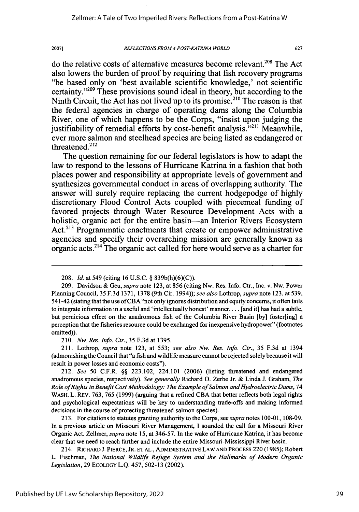### *REFLECTIONS FROM A POST-KA TRINA WORLD*

627

do the relative costs of alternative measures become relevant.<sup>208</sup> The Act also lowers the burden of proof **by** requiring that fish recovery programs "be based only on 'best available scientific knowledge,' not scientific certainty."<sup>209</sup> These provisions sound ideal in theory, but according to the Ninth Circuit, the Act has not lived up to its promise.<sup>210</sup> The reason is that the federal agencies in charge of operating dams along the Columbia River, one of which happens to be the Corps, "insist upon judging the justifiability of remedial efforts by cost-benefit analysis.<sup>7211</sup> Meanwhile, ever more salmon and steelhead species are being listed as endangered or threatened.<sup>212</sup>

The question remaining for our federal legislators is how to adapt the law to respond to the lessons of Hurricane Katrina in a fashion that both places power and responsibility at appropriate levels of government and synthesizes governmental conduct in areas of overlapping authority. The answer will surely require replacing the current hodgepodge of **highly** discretionary Flood Control Acts coupled with piecemeal funding of favored projects through Water Resource Development Acts with a holistic, organic act for the entire basin—an Interior Rivers Ecosystem **Act.213** Programmatic enactments that create or empower administrative agencies and specify their overarching mission are generally known as organic acts. 2" The organic act called for here would serve as a charter for

210. *Nw. Res. Info. Ctr.,* 35 F.3d at 1395.

211. Lothrop, *supra* note 123, at 553; *see also Nw. Res. Info. Ctr.,* 35 F.3d at 1394 (admonishing the Council that "a fish and wildlife measure cannot be rejected solely because it will result in power losses and economic costs").

212. *See* 50 C.F.R. §§ 223.102, 224.101 (2006) (listing threatened and endangered anadromous species, respectively). *See generally* Richard **0.** Zerbe Jr. & Linda **J.** Graham, *The Role ofRights in Benefit Cost Methodology: The Example of Salmon and Hydroelectric Dams,* 74 WASH. L. REV. 763, 765 (1999) (arguing that a refined CBA that better reflects both legal rights and psychological expectations will be key to understanding trade-offs and making informed decisions in the course of protecting threatened salmon species).

213. For citations to statutes granting authority to the Corps, see *supra* notes 100-01, 108-09. In a previous article on Missouri River Management, I sounded the call for a Missouri River Organic Act. Zellmer, *supra* note 15, at 346-57. In the wake of Hurricane Katrina, it has become clear that we need to reach farther and include the entire Missouri-Mississippi River basin.

214. RICHARD **J.** PIERCE, JR. **ET** AL., ADMINISTRATIVE LAW **AND** PROCESS 220 (1985); Robert L. Fischman, *The National Wildlife Refuge System and the Hallmarks of Modern Organic Legislation,* 29 **ECOLOGY** L.Q. 457, 502-13 (2002).

<sup>208.</sup> *Id.* at 549 (citing 16 U.S.C. § 839b(h)(6)(C)).

<sup>209.</sup> Davidson & Geu, *supra* note 123, at 856 (citing Nw. Res. Info. Ctr., Inc. v. Nw. Power Planning Council, 35 F.3d 1371, 1378 (9th Cir. 1994)); *see also* Lothrop, *supra* note 123, at 539, 541-42 (stating that the use of CBA "not only ignores distribution and equity concerns, it often fails to integrate information in a useful and 'intellectually honest' manner.... [and it] has had a subtle, but pernicious effect on the anadromous fish of the Columbia River Basin [by] foster[ing] a perception that the fisheries resource could be exchanged for inexpensive hydropower" (footnotes omitted)).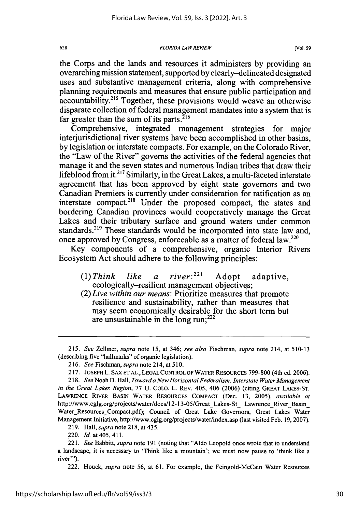the Corps and the lands and resources it administers by providing an overarching mission statement, supported by clearly-delineated designated uses and substantive management criteria, along with comprehensive planning requirements and measures that ensure public participation and accountability.<sup>215</sup> Together, these provisions would weave an otherwise disparate collection of federal management mandates into a system that is far greater than the sum of its parts.<sup>216</sup>

Comprehensive, integrated management strategies for major interjurisdictional river systems have been accomplished in other basins, by legislation or interstate compacts. For example, on the Colorado River, the "Law of the River" governs the activities of the federal agencies that manage it and the seven states and numerous Indian tribes that draw their lifeblood from it.<sup>217</sup> Similarly, in the Great Lakes, a multi-faceted interstate agreement that has been approved by eight state governors and two Canadian Premiers is currently under consideration for ratification as an interstate compact.<sup>218</sup> Under the proposed compact, the states and bordering Canadian provinces would cooperatively manage the Great Lakes and their tributary surface and ground waters under common standards.<sup>219</sup> These standards would be incorporated into state law and, once approved by Congress, enforceable as a matter of federal law.220

Key components of a comprehensive, organic Interior Rivers Ecosystem Act should adhere to the following principles:

- $(1)$  Think like a river:<sup>221</sup> Adopt adaptive, ecologically-resilient management objectives;
- *(2)Live within our means:* Prioritize measures that promote resilience and sustainability, rather than measures that may seem economically desirable for the short term but are unsustainable in the long run;<sup>222</sup>

222. Houck, *supra* note 56, at 61. For example, the Feingold-McCain Water Resources

*<sup>215.</sup> See* Zellmer, *supra* note 15, at 346; *see also* Fischman, *supra* note 214, at 510-13 (describing five "hallmarks" of organic legislation).

<sup>216.</sup> *See* Fischman, *supra* note 214, at 510.

<sup>217.</sup> **JOSEPH** L. **SAX** ET AL., LEGAL CONTROL OF WATER RESOURCES 799-800 (4th ed. 2006).

<sup>218.</sup> *See* Noah D. Hall, *Toward a New Horizontal Federalism. Interstate Water Management in the Great Lakes Region,* 77 U. COLO. L. REv. 405, 406 (2006) (citing GREAT LAKES-ST. LAWRENCE RIVER BASIN WATER RESOURCES COMPACT (Dec. 13, 2005), *available at* http://www.cglg.org/projects/water/docs/12-13-05/Great Lakes-St Lawrence River Basin Water\_Resources Compact.pdf); Council of Great Lake Governors, Great Lakes Water Management Initiative, http://www.cglg.org/projects/water/index.asp (last visited Feb. 19, 2007).

<sup>219.</sup> Hall, *supra* note 218, at 435.

<sup>220.</sup> *Id.* at405,411.

<sup>221.</sup> *See* Babbitt, *supra* note 191 (noting that "Aldo Leopold once wrote that to understand a landscape, it is necessary to 'Think like a mountain'; we must now pause to 'think like a river"').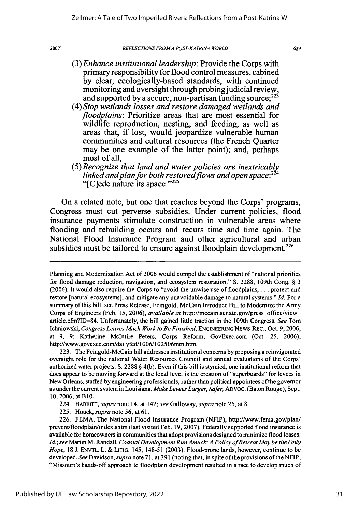### *REFLECTIONS FROMA POST-KA TRINA WORLD*

- *(3) Enhance institutional leadership:* Provide the Corps with primary responsibility for flood control measures, cabined **by** clear, ecologically-based standards, with continued monitoring and oversight through probing judicial review,<br>and supported by a secure, non-partisan funding source;<sup>223</sup>
- *(4) Stop wetlands losses and restore damaged wetlands and floodplains:* Prioritize areas that are most essential for wildlife reproduction, nesting, and feeding, as well as areas that, if lost, would jeopardize vulnerable human communities and cultural resources (the French Quarter may be one example of the latter point); and, perhaps most of all,
- *(5) Recognize that land and water policies are inextricably linked andplan for both restoredflows and open space:224* " $[Cl]$ ede nature its space." $^{225}$

On a related note, but one that reaches beyond the Corps' programs, Congress must cut perverse subsidies. Under current policies, flood insurance payments stimulate construction in vulnerable areas where flooding and rebuilding occurs and recurs time and time again. The National Flood Insurance Program and other agricultural and urban subsidies must be tailored to ensure against floodplain development.<sup>226</sup>

223. The Feingold-McCain bill addresses institutional concerns by proposing a reinvigorated oversight role for the national Water Resources Council and annual evaluations of the Corps' authorized water projects. **S.** 2288 § 4(b). Even if this bill is stymied, one institutional reform that does appear to be moving forward at the local level is the creation of "superboards" for levees in New Orleans, staffed by engineering professionals, rather than political appointees of the governor as under the current system in Louisiana. *Make Levees Larger, Safer,* ADVOC. (Baton Rouge), Sept. 10, 2006, at B10.

225. Houck, *supra* note 56, at 61.

Planning and Modernization Act of 2006 would compel the establishment of "national priorities for flood damage reduction, navigation, and ecosystem restoration." **S.** 2288, 109th Cong. § 3 (2006). It would also require the Corps to "avoid the unwise use of floodplains, . **.** . protect and restore [natural ecosystems], and mitigate any unavoidable damage to natural systems." *Id.* For a summary of this bill, see Press Release, Feingold, McCain Introduce Bill to Modernize the Army Corps of Engineers (Feb. 15, 2006), *available at* http://mccain.senate.gov/press-offlce/view\_ article.cfn?ID=84. Unfortunately, the bill gained little traction in the 109th Congress. *See* Tom Ichniowski, *Congress Leaves Much Work to Be Finished*, ENGINEERING NEWS-REC., Oct. 9, 2006, at 9, 9; Katherine Mclntire Peters, Corps Reform, GovExec.com (Oct. 25, 2006), http://www.govexec.com/dailyfed/1006/102506mm.htm.

<sup>224.</sup> BABBrrr, *supra* note 14, at 142; *see* Galloway, *supra* note 25, at 8.

<sup>226.</sup> FEMA, The National Flood Insurance Program (NFIP), http://www.fema.gov/plan/ prevent/floodplain/index.shtm (last visited Feb. 19, 2007). Federally supported flood insurance is available for homeowners in communities that adopt provisions designed to minimize flood losses. Id.; see Martin M. Randall, *Coastal Development Run Amuck: A Policy of Retreat May be the Only Hope,* 18 J. ENVTL. L. & LITIG. 145, 148-51 (2003). Flood-prone lands, however, continue to be developed. *See* Davidson, *supra* note 71, at 391 (noting that, in spite of the provisions of the NFIP, "Missouri's hands-off approach to floodplain development resulted in a race to develop much of